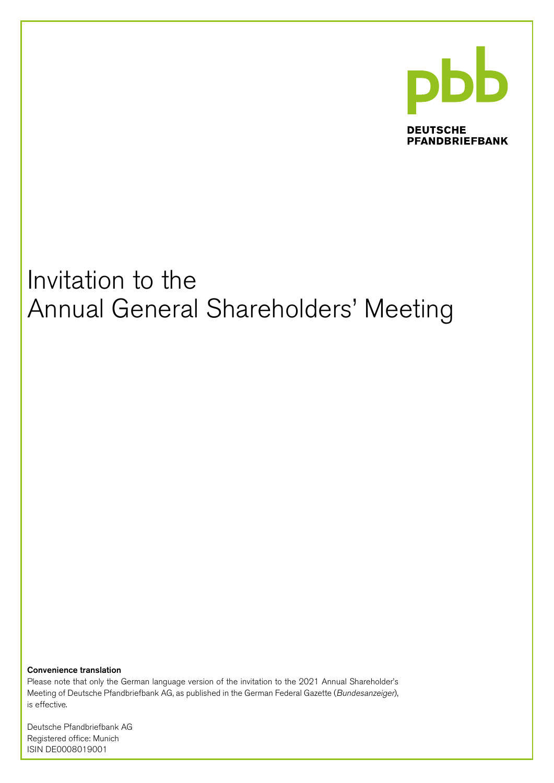

**DEUTSCHE PFANDBRIEFBANK** 

# Invitation to the Annual General Shareholders' Meeting

Convenience translation

Please note that only the German language version of the invitation to the 2021 Annual Shareholder's Meeting of Deutsche Pfandbriefbank AG, as published in the German Federal Gazette (Bundesanzeiger), is effective.

Deutsche Pfandbriefbank AG Registered office: Munich ISIN DE0008019001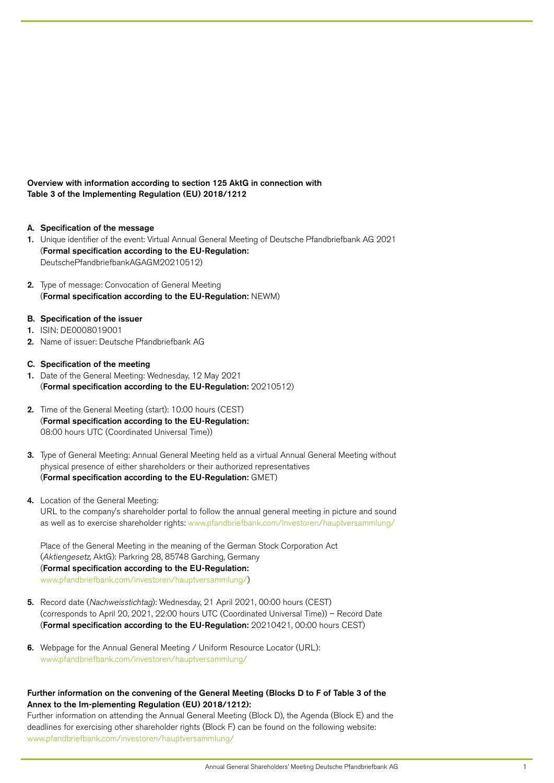Overview with information according to section 125 AktG in connection with Table 3 of the Implementing Regulation (EU) 2018/1212

- A. Specification of the message
- 1. Unique identifier of the event: Virtual Annual General Meeting of Deutsche Pfandbriefbank AG 2021 (Formal specification according to the EU-Regulation: DeutschePfandbriefbankAGAGM20210512)
- 2. Type of message: Convocation of General Meeting (Formal specification according to the EU-Regulation: NEWM)
- B. Specification of the issuer
- 1. ISIN: DE0008019001
- 2. Name of issuer: Deutsche Pfandbriefbank AG
- C. Specification of the meeting
- 1. Date of the General Meeting: Wednesday, 12 May 2021 (Formal specification according to the EU-Regulation: 20210512)
- 2. Time of the General Meeting (start): 10:00 hours (CEST) (Formal specification according to the EU-Regulation: 08:00 hours UTC (Coordinated Universal Time))
- 3. Type of General Meeting: Annual General Meeting held as a virtual Annual General Meeting without physical presence of either shareholders or their authorized representatives (Formal specification according to the EU-Regulation: GMET)
- 4. Location of the General Meeting:

URL to the company's shareholder portal to follow the annual general meeting in picture and sound as well as to exercise shareholder rights: [www.pfandbriefbank.com/investoren/hauptversammlung/](http://www.pfandbriefbank.com/investoren/hauptversammlung/)

Place of the General Meeting in the meaning of the German Stock Corporation Act (Aktiengesetz, AktG): Parkring 28, 85748 Garching, Germany (Formal specification according to the EU-Regulation: [www.pfandbriefbank.com/investoren/hauptversammlung/\)](http://www.pfandbriefbank.com/investoren/hauptversammlung/)

- 5. Record date (Nachweisstichtag): Wednesday, 21 April 2021, 00:00 hours (CEST) (corresponds to April 20, 2021, 22:00 hours UTC (Coordinated Universal Time)) – Record Date (Formal specification according to the EU-Regulation: 20210421, 00:00 hours CEST)
- 6. Webpage for the Annual General Meeting / Uniform Resource Locator (URL): [www.pfandbriefbank.com/investoren/hauptversammlung/](http://www.pfandbriefbank.com/investoren/hauptversammlung/)

# Further information on the convening of the General Meeting (Blocks D to F of Table 3 of the Annex to the Im-plementing Regulation (EU) 2018/1212):

Further information on attending the Annual General Meeting (Block D), the Agenda (Block E) and the deadlines for exercising other shareholder rights (Block F) can be found on the following website: [www.pfandbriefbank.com/investoren/hauptversammlung/](http://www.pfandbriefbank.com/investoren/hauptversammlung/)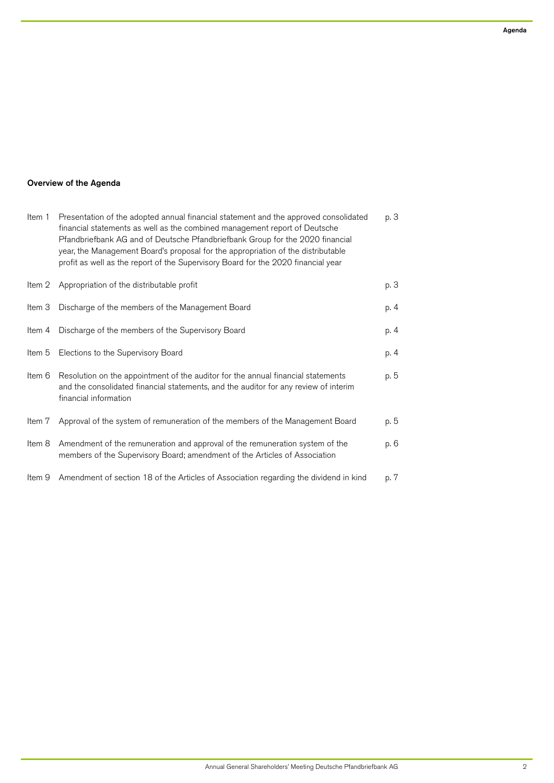# Overview of the Agenda

| Item 1 | Presentation of the adopted annual financial statement and the approved consolidated<br>financial statements as well as the combined management report of Deutsche<br>Pfandbriefbank AG and of Deutsche Pfandbriefbank Group for the 2020 financial<br>year, the Management Board's proposal for the appropriation of the distributable<br>profit as well as the report of the Supervisory Board for the 2020 financial year | р. З |
|--------|------------------------------------------------------------------------------------------------------------------------------------------------------------------------------------------------------------------------------------------------------------------------------------------------------------------------------------------------------------------------------------------------------------------------------|------|
| Item 2 | Appropriation of the distributable profit                                                                                                                                                                                                                                                                                                                                                                                    | p. 3 |
| Item 3 | Discharge of the members of the Management Board                                                                                                                                                                                                                                                                                                                                                                             | p. 4 |
| Item 4 | Discharge of the members of the Supervisory Board                                                                                                                                                                                                                                                                                                                                                                            | p. 4 |
| Item 5 | Elections to the Supervisory Board                                                                                                                                                                                                                                                                                                                                                                                           | p. 4 |
| Item 6 | Resolution on the appointment of the auditor for the annual financial statements<br>and the consolidated financial statements, and the auditor for any review of interim<br>financial information                                                                                                                                                                                                                            | p. 5 |
| Item 7 | Approval of the system of remuneration of the members of the Management Board                                                                                                                                                                                                                                                                                                                                                | p. 5 |
| Item 8 | Amendment of the remuneration and approval of the remuneration system of the<br>members of the Supervisory Board; amendment of the Articles of Association                                                                                                                                                                                                                                                                   | p. 6 |
| Item 9 | Amendment of section 18 of the Articles of Association regarding the dividend in kind                                                                                                                                                                                                                                                                                                                                        | p. 7 |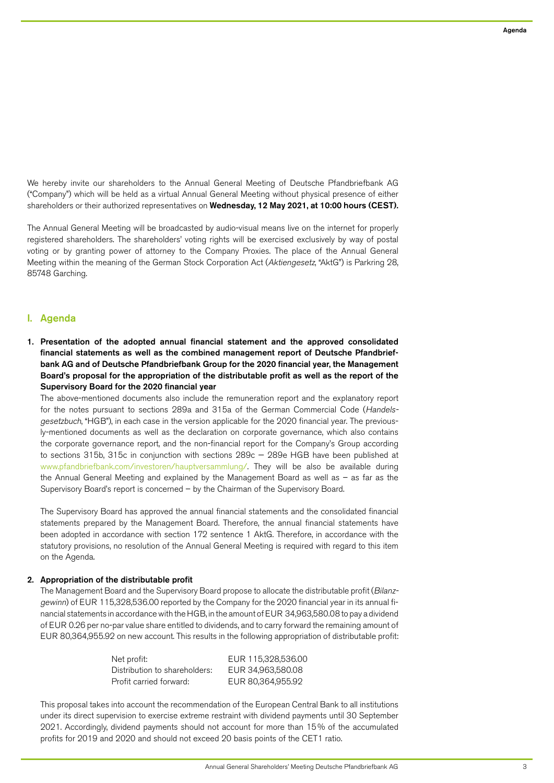We hereby invite our shareholders to the Annual General Meeting of Deutsche Pfandbriefbank AG ("Company") which will be held as a virtual Annual General Meeting without physical presence of either shareholders or their authorized representatives on Wednesday, 12 May 2021, at 10:00 hours (CEST).

The Annual General Meeting will be broadcasted by audio-visual means live on the internet for properly registered shareholders. The shareholders' voting rights will be exercised exclusively by way of postal voting or by granting power of attorney to the Company Proxies. The place of the Annual General Meeting within the meaning of the German Stock Corporation Act (Aktiengesetz, "AktG") is Parkring 28, 85748 Garching.

# I. Agenda

1. Presentation of the adopted annual financial statement and the approved consolidated financial statements as well as the combined management report of Deutsche Pfandbriefbank AG and of Deutsche Pfandbriefbank Group for the 2020 financial year, the Management Board's proposal for the appropriation of the distributable profit as well as the report of the Supervisory Board for the 2020 financial year

The above-mentioned documents also include the remuneration report and the explanatory report for the notes pursuant to sections 289a and 315a of the German Commercial Code (Handelsgesetzbuch, "HGB"), in each case in the version applicable for the 2020 financial year. The previously-mentioned documents as well as the declaration on corporate governance, which also contains the corporate governance report, and the non-financial report for the Company's Group according to sections 315b, 315c in conjunction with sections 289c — 289e HGB have been published at [www.pfandbriefbank.com/investoren/hauptversammlung/.](http://www.pfandbriefbank.com/investoren/hauptversammlung/) They will be also be available during the Annual General Meeting and explained by the Management Board as well as – as far as the Supervisory Board's report is concerned – by the Chairman of the Supervisory Board.

The Supervisory Board has approved the annual financial statements and the consolidated financial statements prepared by the Management Board. Therefore, the annual financial statements have been adopted in accordance with section 172 sentence 1 AktG. Therefore, in accordance with the statutory provisions, no resolution of the Annual General Meeting is required with regard to this item on the Agenda.

## 2. Appropriation of the distributable profit

The Management Board and the Supervisory Board propose to allocate the distributable profit (Bilanzgewinn) of EUR 115,328,536.00 reported by the Company for the 2020 financial year in its annual financial statements in accordance with the HGB, in the amount of EUR 34,963,580.08 to pay a dividend of EUR 0.26 per no-par value share entitled to dividends, and to carry forward the remaining amount of EUR 80,364,955.92 on new account. This results in the following appropriation of distributable profit:

| Net profit:                   | EUR 115,328,536.00 |
|-------------------------------|--------------------|
| Distribution to shareholders: | EUR 34.963.580.08  |
| Profit carried forward:       | EUR 80.364.955.92  |

This proposal takes into account the recommendation of the European Central Bank to all institutions under its direct supervision to exercise extreme restraint with dividend payments until 30 September 2021. Accordingly, dividend payments should not account for more than 15% of the accumulated profits for 2019 and 2020 and should not exceed 20 basis points of the CET1 ratio.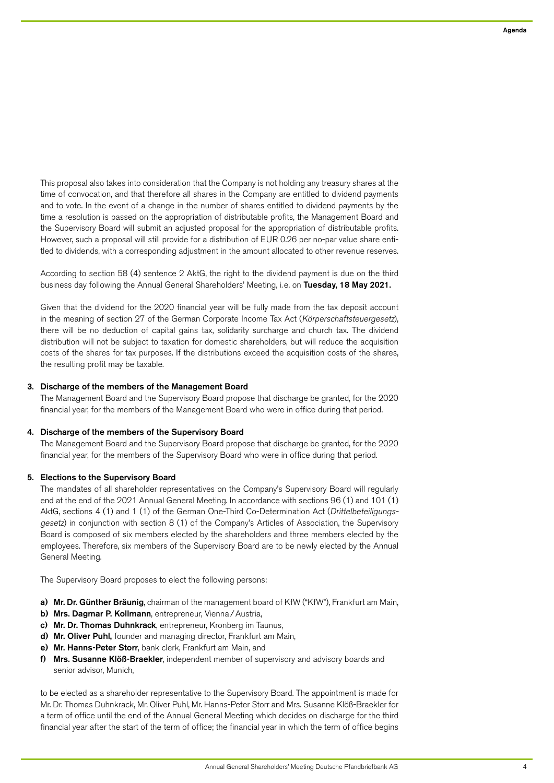This proposal also takes into consideration that the Company is not holding any treasury shares at the time of convocation, and that therefore all shares in the Company are entitled to dividend payments and to vote. In the event of a change in the number of shares entitled to dividend payments by the time a resolution is passed on the appropriation of distributable profits, the Management Board and the Supervisory Board will submit an adjusted proposal for the appropriation of distributable profits. However, such a proposal will still provide for a distribution of EUR 0.26 per no-par value share entitled to dividends, with a corresponding adjustment in the amount allocated to other revenue reserves.

According to section 58 (4) sentence 2 AktG, the right to the dividend payment is due on the third business day following the Annual General Shareholders' Meeting, i.e. on Tuesday, 18 May 2021.

Given that the dividend for the 2020 financial year will be fully made from the tax deposit account in the meaning of section 27 of the German Corporate Income Tax Act (Körperschaftsteuergesetz), there will be no deduction of capital gains tax, solidarity surcharge and church tax. The dividend distribution will not be subject to taxation for domestic shareholders, but will reduce the acquisition costs of the shares for tax purposes. If the distributions exceed the acquisition costs of the shares, the resulting profit may be taxable.

#### 3. Discharge of the members of the Management Board

The Management Board and the Supervisory Board propose that discharge be granted, for the 2020 financial year, for the members of the Management Board who were in office during that period.

#### 4. Discharge of the members of the Supervisory Board

The Management Board and the Supervisory Board propose that discharge be granted, for the 2020 financial year, for the members of the Supervisory Board who were in office during that period.

## 5. Elections to the Supervisory Board

The mandates of all shareholder representatives on the Company's Supervisory Board will regularly end at the end of the 2021 Annual General Meeting. In accordance with sections 96 (1) and 101 (1) AktG, sections 4 (1) and 1 (1) of the German One-Third Co-Determination Act (Drittelbeteiligungsgesetz) in conjunction with section 8 (1) of the Company's Articles of Association, the Supervisory Board is composed of six members elected by the shareholders and three members elected by the employees. Therefore, six members of the Supervisory Board are to be newly elected by the Annual General Meeting.

The Supervisory Board proposes to elect the following persons:

- a) Mr. Dr. Günther Bräunig, chairman of the management board of KfW ("KfW"), Frankfurt am Main,
- b) Mrs. Dagmar P. Kollmann, entrepreneur, Vienna / Austria,
- c) Mr. Dr. Thomas Duhnkrack, entrepreneur, Kronberg im Taunus,
- d) Mr. Oliver Puhl, founder and managing director, Frankfurt am Main,
- e) Mr. Hanns-Peter Storr, bank clerk, Frankfurt am Main, and
- f) Mrs. Susanne Klöß-Braekler, independent member of supervisory and advisory boards and senior advisor, Munich,

to be elected as a shareholder representative to the Supervisory Board. The appointment is made for Mr. Dr. Thomas Duhnkrack, Mr. Oliver Puhl, Mr. Hanns-Peter Storr and Mrs. Susanne Klöß-Braekler for a term of office until the end of the Annual General Meeting which decides on discharge for the third financial year after the start of the term of office; the financial year in which the term of office begins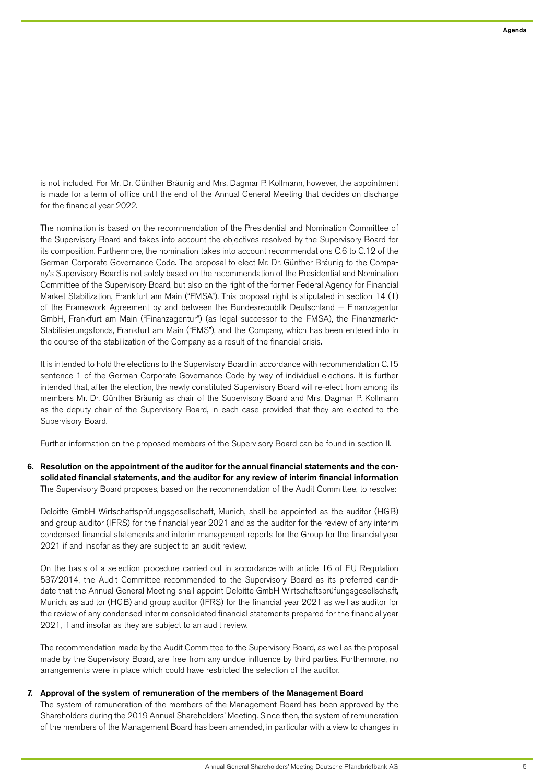is not included. For Mr. Dr. Günther Bräunig and Mrs. Dagmar P. Kollmann, however, the appointment is made for a term of office until the end of the Annual General Meeting that decides on discharge for the financial year 2022.

The nomination is based on the recommendation of the Presidential and Nomination Committee of the Supervisory Board and takes into account the objectives resolved by the Supervisory Board for its composition. Furthermore, the nomination takes into account recommendations C.6 to C.12 of the German Corporate Governance Code. The proposal to elect Mr. Dr. Günther Bräunig to the Company's Supervisory Board is not solely based on the recommendation of the Presidential and Nomination Committee of the Supervisory Board, but also on the right of the former Federal Agency for Financial Market Stabilization, Frankfurt am Main ("FMSA"). This proposal right is stipulated in section 14 (1) of the Framework Agreement by and between the Bundesrepublik Deutschland — Finanzagentur GmbH, Frankfurt am Main ("Finanzagentur") (as legal successor to the FMSA), the Finanzmarkt-Stabilisierungsfonds, Frankfurt am Main ("FMS"), and the Company, which has been entered into in the course of the stabilization of the Company as a result of the financial crisis.

It is intended to hold the elections to the Supervisory Board in accordance with recommendation C.15 sentence 1 of the German Corporate Governance Code by way of individual elections. It is further intended that, after the election, the newly constituted Supervisory Board will re-elect from among its members Mr. Dr. Günther Bräunig as chair of the Supervisory Board and Mrs. Dagmar P. Kollmann as the deputy chair of the Supervisory Board, in each case provided that they are elected to the Supervisory Board.

Further information on the proposed members of the Supervisory Board can be found in section II.

6. Resolution on the appointment of the auditor for the annual financial statements and the consolidated financial statements, and the auditor for any review of interim financial information The Supervisory Board proposes, based on the recommendation of the Audit Committee, to resolve:

Deloitte GmbH Wirtschaftsprüfungsgesellschaft, Munich, shall be appointed as the auditor (HGB) and group auditor (IFRS) for the financial year 2021 and as the auditor for the review of any interim condensed financial statements and interim management reports for the Group for the financial year 2021 if and insofar as they are subject to an audit review.

On the basis of a selection procedure carried out in accordance with article 16 of EU Regulation 537/2014, the Audit Committee recommended to the Supervisory Board as its preferred candidate that the Annual General Meeting shall appoint Deloitte GmbH Wirtschaftsprüfungsgesellschaft, Munich, as auditor (HGB) and group auditor (IFRS) for the financial year 2021 as well as auditor for the review of any condensed interim consolidated financial statements prepared for the financial year 2021, if and insofar as they are subject to an audit review.

The recommendation made by the Audit Committee to the Supervisory Board, as well as the proposal made by the Supervisory Board, are free from any undue influence by third parties. Furthermore, no arrangements were in place which could have restricted the selection of the auditor.

#### 7. Approval of the system of remuneration of the members of the Management Board

The system of remuneration of the members of the Management Board has been approved by the Shareholders during the 2019 Annual Shareholders' Meeting. Since then, the system of remuneration of the members of the Management Board has been amended, in particular with a view to changes in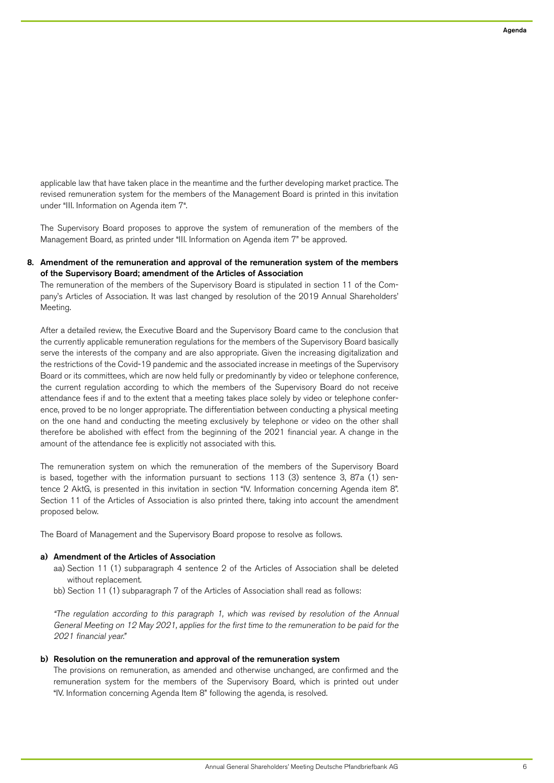applicable law that have taken place in the meantime and the further developing market practice. The revised remuneration system for the members of the Management Board is printed in this invitation under "III. Information on Agenda item 7".

The Supervisory Board proposes to approve the system of remuneration of the members of the Management Board, as printed under "III. Information on Agenda item 7" be approved.

## 8. Amendment of the remuneration and approval of the remuneration system of the members of the Supervisory Board; amendment of the Articles of Association

The remuneration of the members of the Supervisory Board is stipulated in section 11 of the Company's Articles of Association. It was last changed by resolution of the 2019 Annual Shareholders' Meeting.

After a detailed review, the Executive Board and the Supervisory Board came to the conclusion that the currently applicable remuneration regulations for the members of the Supervisory Board basically serve the interests of the company and are also appropriate. Given the increasing digitalization and the restrictions of the Covid-19 pandemic and the associated increase in meetings of the Supervisory Board or its committees, which are now held fully or predominantly by video or telephone conference, the current regulation according to which the members of the Supervisory Board do not receive attendance fees if and to the extent that a meeting takes place solely by video or telephone conference, proved to be no longer appropriate. The differentiation between conducting a physical meeting on the one hand and conducting the meeting exclusively by telephone or video on the other shall therefore be abolished with effect from the beginning of the 2021 financial year. A change in the amount of the attendance fee is explicitly not associated with this.

The remuneration system on which the remuneration of the members of the Supervisory Board is based, together with the information pursuant to sections 113 (3) sentence 3, 87a (1) sentence 2 AktG, is presented in this invitation in section "IV. Information concerning Agenda item 8". Section 11 of the Articles of Association is also printed there, taking into account the amendment proposed below.

The Board of Management and the Supervisory Board propose to resolve as follows.

#### a) Amendment of the Articles of Association

- aa) Section 11 (1) subparagraph 4 sentence 2 of the Articles of Association shall be deleted without replacement.
- bb) Section 11 (1) subparagraph 7 of the Articles of Association shall read as follows:

"The regulation according to this paragraph 1, which was revised by resolution of the Annual General Meeting on 12 May 2021, applies for the first time to the remuneration to be paid for the 2021 financial year."

#### b) Resolution on the remuneration and approval of the remuneration system

The provisions on remuneration, as amended and otherwise unchanged, are confirmed and the remuneration system for the members of the Supervisory Board, which is printed out under "IV. Information concerning Agenda Item 8" following the agenda, is resolved.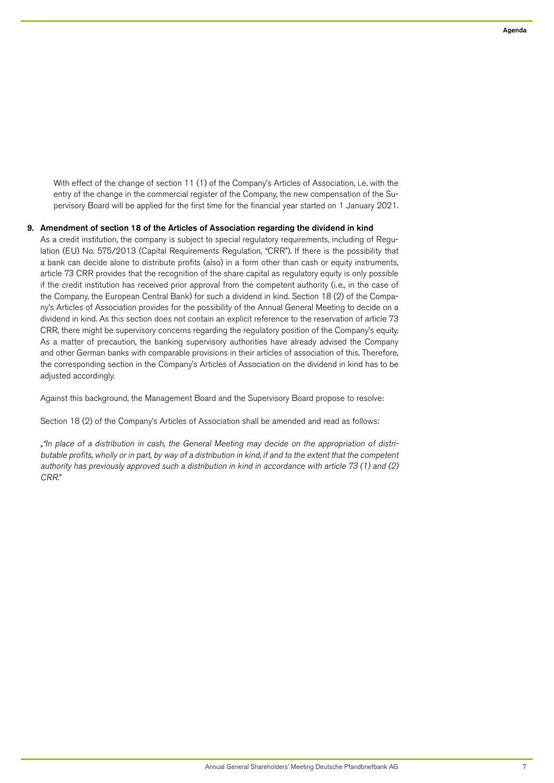With effect of the change of section 11 (1) of the Company's Articles of Association, i.e. with the entry of the change in the commercial register of the Company, the new compensation of the Supervisory Board will be applied for the first time for the financial year started on 1 January 2021.

## 9. Amendment of section 18 of the Articles of Association regarding the dividend in kind

As a credit institution, the company is subject to special regulatory requirements, including of Regulation (EU) No. 575/2013 (Capital Requirements Regulation, "CRR"). If there is the possibility that a bank can decide alone to distribute profits (also) in a form other than cash or equity instruments, article 73 CRR provides that the recognition of the share capital as regulatory equity is only possible if the credit institution has received prior approval from the competent authority (i.e., in the case of the Company, the European Central Bank) for such a dividend in kind. Section 18 (2) of the Company's Articles of Association provides for the possibility of the Annual General Meeting to decide on a dividend in kind. As this section does not contain an explicit reference to the reservation of article 73 CRR, there might be supervisory concerns regarding the regulatory position of the Company's equity. As a matter of precaution, the banking supervisory authorities have already advised the Company and other German banks with comparable provisions in their articles of association of this. Therefore, the corresponding section in the Company's Articles of Association on the dividend in kind has to be adjusted accordingly.

Against this background, the Management Board and the Supervisory Board propose to resolve:

Section 18 (2) of the Company's Articles of Association shall be amended and read as follows:

""In place of a distribution in cash, the General Meeting may decide on the appropriation of distributable profits, wholly or in part, by way of a distribution in kind, if and to the extent that the competent authority has previously approved such a distribution in kind in accordance with article 73 (1) and (2) CRR."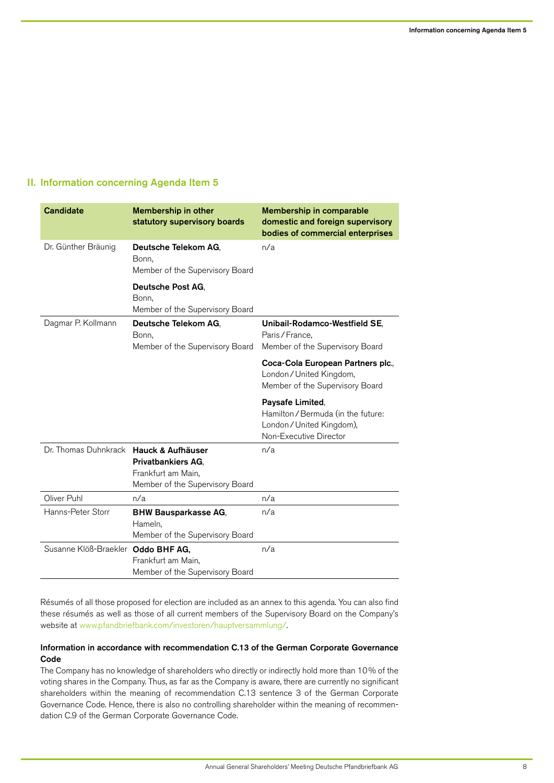# II. Information concerning Agenda Item 5

| <b>Candidate</b>                       | <b>Membership in other</b><br>statutory supervisory boards                         | Membership in comparable<br>domestic and foreign supervisory<br>bodies of commercial enterprises            |
|----------------------------------------|------------------------------------------------------------------------------------|-------------------------------------------------------------------------------------------------------------|
| Dr. Günther Bräunig                    | Deutsche Telekom AG,<br>Bonn,<br>Member of the Supervisory Board                   | n/a                                                                                                         |
|                                        | Deutsche Post AG,<br>Bonn,<br>Member of the Supervisory Board                      |                                                                                                             |
| Dagmar P. Kollmann                     | Deutsche Telekom AG,<br>Bonn,<br>Member of the Supervisory Board                   | Unibail-Rodamco-Westfield SE,<br>Paris/France,<br>Member of the Supervisory Board                           |
|                                        |                                                                                    | Coca-Cola European Partners plc.,<br>London/United Kingdom,<br>Member of the Supervisory Board              |
|                                        |                                                                                    |                                                                                                             |
|                                        |                                                                                    | Paysafe Limited,<br>Hamilton / Bermuda (in the future:<br>London/United Kingdom),<br>Non-Executive Director |
| Dr. Thomas Duhnkrack Hauck & Aufhäuser | <b>Privatbankiers AG.</b><br>Frankfurt am Main,<br>Member of the Supervisory Board | n/a                                                                                                         |
| Oliver Puhl                            | n/a                                                                                | n/a                                                                                                         |
| Hanns-Peter Storr                      | <b>BHW Bausparkasse AG,</b><br>Hameln,<br>Member of the Supervisory Board          | n/a                                                                                                         |

Résumés of all those proposed for election are included as an annex to this agenda. You can also find these résumés as well as those of all current members of the Supervisory Board on the Company's website at [www.pfandbriefbank.com/investoren/hauptversammlung/.](http://www.pfandbriefbank.com/investoren/hauptversammlung/)

# Information in accordance with recommendation C.13 of the German Corporate Governance Code

The Company has no knowledge of shareholders who directly or indirectly hold more than 10% of the voting shares in the Company. Thus, as far as the Company is aware, there are currently no significant shareholders within the meaning of recommendation C.13 sentence 3 of the German Corporate Governance Code. Hence, there is also no controlling shareholder within the meaning of recommendation C.9 of the German Corporate Governance Code.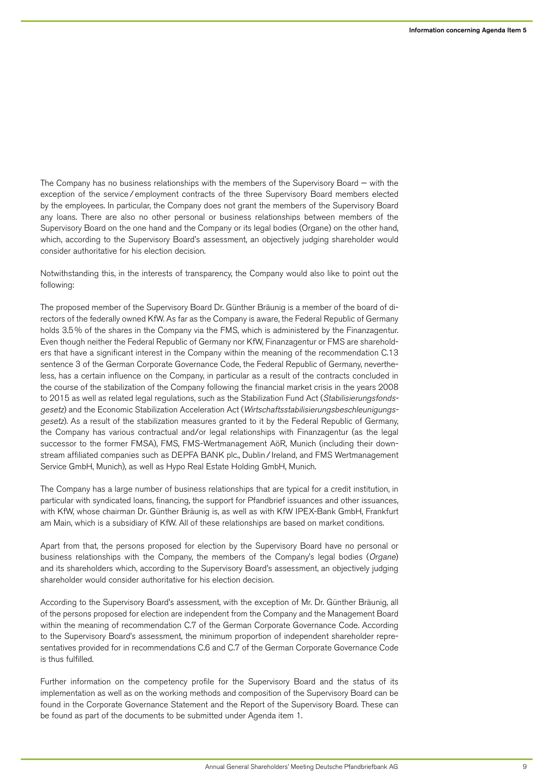The Company has no business relationships with the members of the Supervisory Board — with the exception of the service/employment contracts of the three Supervisory Board members elected by the employees. In particular, the Company does not grant the members of the Supervisory Board any loans. There are also no other personal or business relationships between members of the Supervisory Board on the one hand and the Company or its legal bodies (Organe) on the other hand, which, according to the Supervisory Board's assessment, an objectively judging shareholder would consider authoritative for his election decision.

Notwithstanding this, in the interests of transparency, the Company would also like to point out the following:

The proposed member of the Supervisory Board Dr. Günther Bräunig is a member of the board of directors of the federally owned KfW. As far as the Company is aware, the Federal Republic of Germany holds 3.5% of the shares in the Company via the FMS, which is administered by the Finanzagentur. Even though neither the Federal Republic of Germany nor KfW, Finanzagentur or FMS are shareholders that have a significant interest in the Company within the meaning of the recommendation C.13 sentence 3 of the German Corporate Governance Code, the Federal Republic of Germany, nevertheless, has a certain influence on the Company, in particular as a result of the contracts concluded in the course of the stabilization of the Company following the financial market crisis in the years 2008 to 2015 as well as related legal regulations, such as the Stabilization Fund Act (Stabilisierungsfondsgesetz) and the Economic Stabilization Acceleration Act (Wirtschaftsstabilisierungsbeschleunigungsgesetz). As a result of the stabilization measures granted to it by the Federal Republic of Germany, the Company has various contractual and/or legal relationships with Finanzagentur (as the legal successor to the former FMSA), FMS, FMS-Wertmanagement AöR, Munich (including their downstream affiliated companies such as DEPFA BANK plc., Dublin/ Ireland, and FMS Wertmanagement Service GmbH, Munich), as well as Hypo Real Estate Holding GmbH, Munich.

The Company has a large number of business relationships that are typical for a credit institution, in particular with syndicated loans, financing, the support for Pfandbrief issuances and other issuances, with KfW, whose chairman Dr. Günther Bräunig is, as well as with KfW IPEX-Bank GmbH, Frankfurt am Main, which is a subsidiary of KfW. All of these relationships are based on market conditions.

Apart from that, the persons proposed for election by the Supervisory Board have no personal or business relationships with the Company, the members of the Company's legal bodies (Organe) and its shareholders which, according to the Supervisory Board's assessment, an objectively judging shareholder would consider authoritative for his election decision.

According to the Supervisory Board's assessment, with the exception of Mr. Dr. Günther Bräunig, all of the persons proposed for election are independent from the Company and the Management Board within the meaning of recommendation C.7 of the German Corporate Governance Code. According to the Supervisory Board's assessment, the minimum proportion of independent shareholder representatives provided for in recommendations C.6 and C.7 of the German Corporate Governance Code is thus fulfilled.

Further information on the competency profile for the Supervisory Board and the status of its implementation as well as on the working methods and composition of the Supervisory Board can be found in the Corporate Governance Statement and the Report of the Supervisory Board. These can be found as part of the documents to be submitted under Agenda item 1.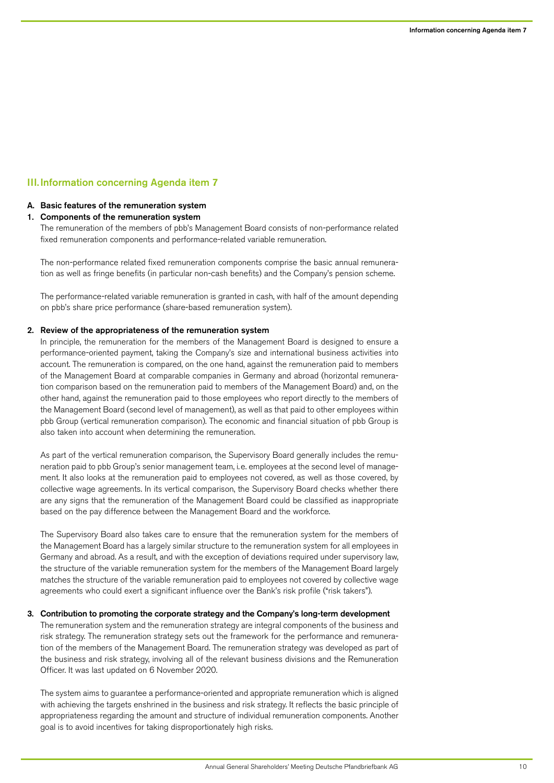# III.Information concerning Agenda item 7

#### A. Basic features of the remuneration system

#### 1. Components of the remuneration system

The remuneration of the members of pbb's Management Board consists of non-performance related fixed remuneration components and performance-related variable remuneration.

The non-performance related fixed remuneration components comprise the basic annual remuneration as well as fringe benefits (in particular non-cash benefits) and the Company's pension scheme.

The performance-related variable remuneration is granted in cash, with half of the amount depending on pbb's share price performance (share-based remuneration system).

#### 2. Review of the appropriateness of the remuneration system

In principle, the remuneration for the members of the Management Board is designed to ensure a performance-oriented payment, taking the Company's size and international business activities into account. The remuneration is compared, on the one hand, against the remuneration paid to members of the Management Board at comparable companies in Germany and abroad (horizontal remuneration comparison based on the remuneration paid to members of the Management Board) and, on the other hand, against the remuneration paid to those employees who report directly to the members of the Management Board (second level of management), as well as that paid to other employees within pbb Group (vertical remuneration comparison). The economic and financial situation of pbb Group is also taken into account when determining the remuneration.

As part of the vertical remuneration comparison, the Supervisory Board generally includes the remuneration paid to pbb Group's senior management team, i.e. employees at the second level of management. It also looks at the remuneration paid to employees not covered, as well as those covered, by collective wage agreements. In its vertical comparison, the Supervisory Board checks whether there are any signs that the remuneration of the Management Board could be classified as inappropriate based on the pay difference between the Management Board and the workforce.

The Supervisory Board also takes care to ensure that the remuneration system for the members of the Management Board has a largely similar structure to the remuneration system for all employees in Germany and abroad. As a result, and with the exception of deviations required under supervisory law, the structure of the variable remuneration system for the members of the Management Board largely matches the structure of the variable remuneration paid to employees not covered by collective wage agreements who could exert a significant influence over the Bank's risk profile ("risk takers").

#### 3. Contribution to promoting the corporate strategy and the Company's long-term development

The remuneration system and the remuneration strategy are integral components of the business and risk strategy. The remuneration strategy sets out the framework for the performance and remuneration of the members of the Management Board. The remuneration strategy was developed as part of the business and risk strategy, involving all of the relevant business divisions and the Remuneration Officer. It was last updated on 6 November 2020.

The system aims to guarantee a performance-oriented and appropriate remuneration which is aligned with achieving the targets enshrined in the business and risk strategy. It reflects the basic principle of appropriateness regarding the amount and structure of individual remuneration components. Another goal is to avoid incentives for taking disproportionately high risks.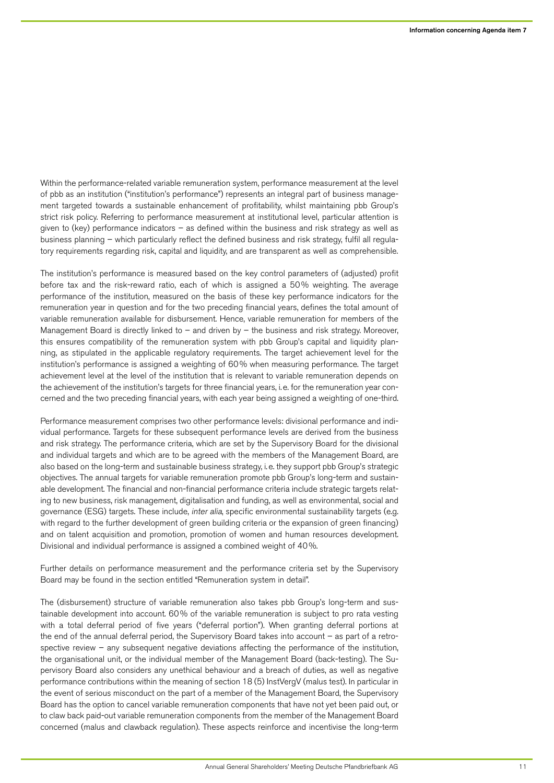Within the performance-related variable remuneration system, performance measurement at the level of pbb as an institution ("institution's performance") represents an integral part of business management targeted towards a sustainable enhancement of profitability, whilst maintaining pbb Group's strict risk policy. Referring to performance measurement at institutional level, particular attention is given to (key) performance indicators – as defined within the business and risk strategy as well as business planning – which particularly reflect the defined business and risk strategy, fulfil all regulatory requirements regarding risk, capital and liquidity, and are transparent as well as comprehensible.

The institution's performance is measured based on the key control parameters of (adjusted) profit before tax and the risk-reward ratio, each of which is assigned a 50% weighting. The average performance of the institution, measured on the basis of these key performance indicators for the remuneration year in question and for the two preceding financial years, defines the total amount of variable remuneration available for disbursement. Hence, variable remuneration for members of the Management Board is directly linked to – and driven by – the business and risk strategy. Moreover, this ensures compatibility of the remuneration system with pbb Group's capital and liquidity planning, as stipulated in the applicable regulatory requirements. The target achievement level for the institution's performance is assigned a weighting of 60% when measuring performance. The target achievement level at the level of the institution that is relevant to variable remuneration depends on the achievement of the institution's targets for three financial years, i.e. for the remuneration year concerned and the two preceding financial years, with each year being assigned a weighting of one-third.

Performance measurement comprises two other performance levels: divisional performance and individual performance. Targets for these subsequent performance levels are derived from the business and risk strategy. The performance criteria, which are set by the Supervisory Board for the divisional and individual targets and which are to be agreed with the members of the Management Board, are also based on the long-term and sustainable business strategy, i.e. they support pbb Group's strategic objectives. The annual targets for variable remuneration promote pbb Group's long-term and sustainable development. The financial and non-financial performance criteria include strategic targets relating to new business, risk management, digitalisation and funding, as well as environmental, social and governance (ESG) targets. These include, inter alia, specific environmental sustainability targets (e.g. with regard to the further development of green building criteria or the expansion of green financing) and on talent acquisition and promotion, promotion of women and human resources development. Divisional and individual performance is assigned a combined weight of 40%.

Further details on performance measurement and the performance criteria set by the Supervisory Board may be found in the section entitled "Remuneration system in detail".

The (disbursement) structure of variable remuneration also takes pbb Group's long-term and sustainable development into account. 60% of the variable remuneration is subject to pro rata vesting with a total deferral period of five years ("deferral portion"). When granting deferral portions at the end of the annual deferral period, the Supervisory Board takes into account – as part of a retrospective review – any subsequent negative deviations affecting the performance of the institution, the organisational unit, or the individual member of the Management Board (back-testing). The Supervisory Board also considers any unethical behaviour and a breach of duties, as well as negative performance contributions within the meaning of section 18 (5) InstVergV (malus test). In particular in the event of serious misconduct on the part of a member of the Management Board, the Supervisory Board has the option to cancel variable remuneration components that have not yet been paid out, or to claw back paid-out variable remuneration components from the member of the Management Board concerned (malus and clawback regulation). These aspects reinforce and incentivise the long-term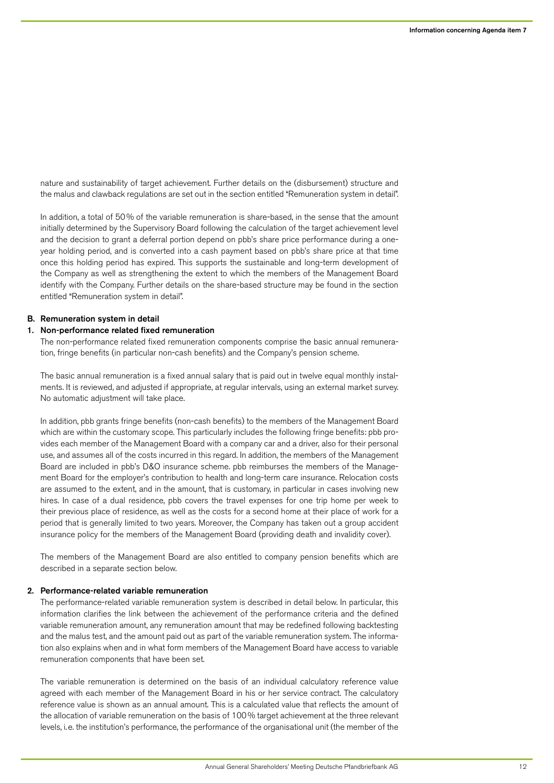nature and sustainability of target achievement. Further details on the (disbursement) structure and the malus and clawback regulations are set out in the section entitled "Remuneration system in detail".

In addition, a total of 50% of the variable remuneration is share-based, in the sense that the amount initially determined by the Supervisory Board following the calculation of the target achievement level and the decision to grant a deferral portion depend on pbb's share price performance during a oneyear holding period, and is converted into a cash payment based on pbb's share price at that time once this holding period has expired. This supports the sustainable and long-term development of the Company as well as strengthening the extent to which the members of the Management Board identify with the Company. Further details on the share-based structure may be found in the section entitled "Remuneration system in detail".

#### B. Remuneration system in detail

## 1. Non-performance related fixed remuneration

The non-performance related fixed remuneration components comprise the basic annual remuneration, fringe benefits (in particular non-cash benefits) and the Company's pension scheme.

The basic annual remuneration is a fixed annual salary that is paid out in twelve equal monthly instalments. It is reviewed, and adjusted if appropriate, at regular intervals, using an external market survey. No automatic adjustment will take place.

In addition, pbb grants fringe benefits (non-cash benefits) to the members of the Management Board which are within the customary scope. This particularly includes the following fringe benefits: pbb provides each member of the Management Board with a company car and a driver, also for their personal use, and assumes all of the costs incurred in this regard. In addition, the members of the Management Board are included in pbb's D&O insurance scheme. pbb reimburses the members of the Management Board for the employer's contribution to health and long-term care insurance. Relocation costs are assumed to the extent, and in the amount, that is customary, in particular in cases involving new hires. In case of a dual residence, pbb covers the travel expenses for one trip home per week to their previous place of residence, as well as the costs for a second home at their place of work for a period that is generally limited to two years. Moreover, the Company has taken out a group accident insurance policy for the members of the Management Board (providing death and invalidity cover).

The members of the Management Board are also entitled to company pension benefits which are described in a separate section below.

## 2. Performance-related variable remuneration

The performance-related variable remuneration system is described in detail below. In particular, this information clarifies the link between the achievement of the performance criteria and the defined variable remuneration amount, any remuneration amount that may be redefined following backtesting and the malus test, and the amount paid out as part of the variable remuneration system. The information also explains when and in what form members of the Management Board have access to variable remuneration components that have been set.

The variable remuneration is determined on the basis of an individual calculatory reference value agreed with each member of the Management Board in his or her service contract. The calculatory reference value is shown as an annual amount. This is a calculated value that reflects the amount of the allocation of variable remuneration on the basis of 100% target achievement at the three relevant levels, i.e. the institution's performance, the performance of the organisational unit (the member of the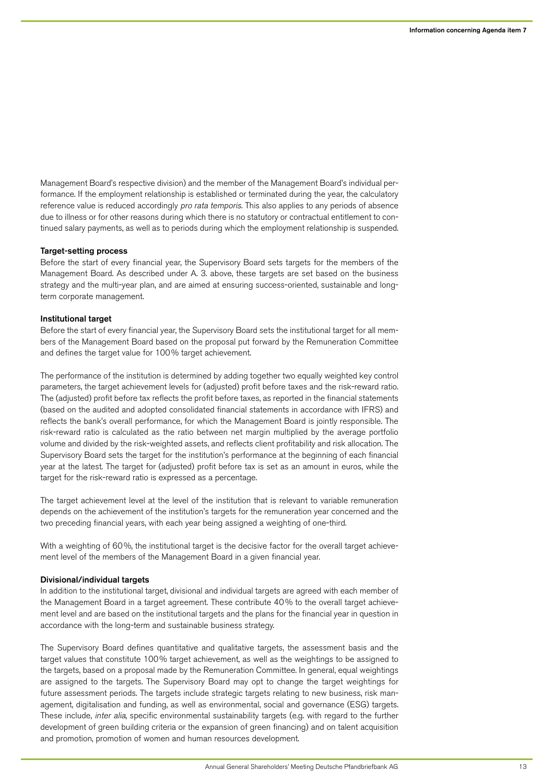Management Board's respective division) and the member of the Management Board's individual performance. If the employment relationship is established or terminated during the year, the calculatory reference value is reduced accordingly pro rata temporis. This also applies to any periods of absence due to illness or for other reasons during which there is no statutory or contractual entitlement to continued salary payments, as well as to periods during which the employment relationship is suspended.

#### Target-setting process

Before the start of every financial year, the Supervisory Board sets targets for the members of the Management Board. As described under A. 3. above, these targets are set based on the business strategy and the multi-year plan, and are aimed at ensuring success-oriented, sustainable and longterm corporate management.

#### Institutional target

Before the start of every financial year, the Supervisory Board sets the institutional target for all members of the Management Board based on the proposal put forward by the Remuneration Committee and defines the target value for 100% target achievement.

The performance of the institution is determined by adding together two equally weighted key control parameters, the target achievement levels for (adjusted) profit before taxes and the risk-reward ratio. The (adjusted) profit before tax reflects the profit before taxes, as reported in the financial statements (based on the audited and adopted consolidated financial statements in accordance with IFRS) and reflects the bank's overall performance, for which the Management Board is jointly responsible. The risk-reward ratio is calculated as the ratio between net margin multiplied by the average portfolio volume and divided by the risk-weighted assets, and reflects client profitability and risk allocation. The Supervisory Board sets the target for the institution's performance at the beginning of each financial year at the latest. The target for (adjusted) profit before tax is set as an amount in euros, while the target for the risk-reward ratio is expressed as a percentage.

The target achievement level at the level of the institution that is relevant to variable remuneration depends on the achievement of the institution's targets for the remuneration year concerned and the two preceding financial years, with each year being assigned a weighting of one-third.

With a weighting of 60%, the institutional target is the decisive factor for the overall target achievement level of the members of the Management Board in a given financial year.

#### Divisional/individual targets

In addition to the institutional target, divisional and individual targets are agreed with each member of the Management Board in a target agreement. These contribute 40% to the overall target achievement level and are based on the institutional targets and the plans for the financial year in question in accordance with the long-term and sustainable business strategy.

The Supervisory Board defines quantitative and qualitative targets, the assessment basis and the target values that constitute 100% target achievement, as well as the weightings to be assigned to the targets, based on a proposal made by the Remuneration Committee. In general, equal weightings are assigned to the targets. The Supervisory Board may opt to change the target weightings for future assessment periods. The targets include strategic targets relating to new business, risk management, digitalisation and funding, as well as environmental, social and governance (ESG) targets. These include, inter alia, specific environmental sustainability targets (e.g. with regard to the further development of green building criteria or the expansion of green financing) and on talent acquisition and promotion, promotion of women and human resources development.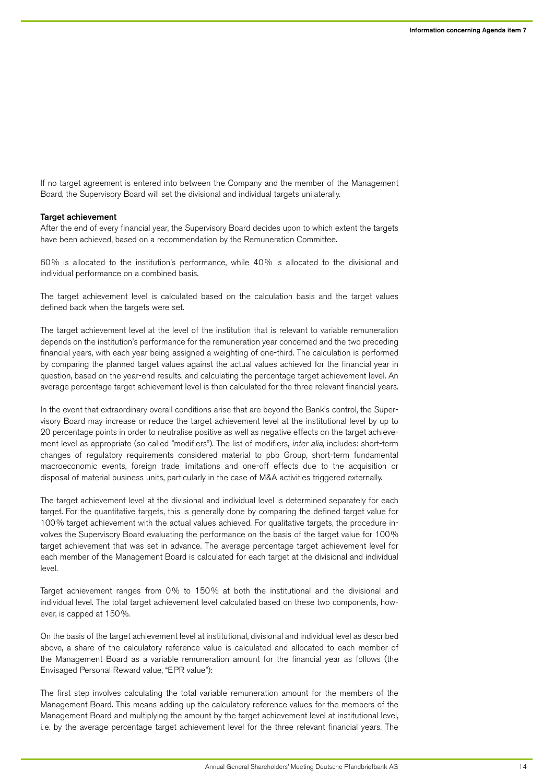If no target agreement is entered into between the Company and the member of the Management Board, the Supervisory Board will set the divisional and individual targets unilaterally.

#### **Target achievement**

After the end of every financial year, the Supervisory Board decides upon to which extent the targets have been achieved, based on a recommendation by the Remuneration Committee.

60% is allocated to the institution's performance, while 40% is allocated to the divisional and individual performance on a combined basis.

The target achievement level is calculated based on the calculation basis and the target values defined back when the targets were set.

The target achievement level at the level of the institution that is relevant to variable remuneration depends on the institution's performance for the remuneration year concerned and the two preceding financial years, with each year being assigned a weighting of one-third. The calculation is performed by comparing the planned target values against the actual values achieved for the financial year in question, based on the year-end results, and calculating the percentage target achievement level. An average percentage target achievement level is then calculated for the three relevant financial years.

In the event that extraordinary overall conditions arise that are beyond the Bank's control, the Supervisory Board may increase or reduce the target achievement level at the institutional level by up to 20 percentage points in order to neutralise positive as well as negative effects on the target achievement level as appropriate (so called "modifiers"). The list of modifiers, *inter alia*, includes: short-term changes of regulatory requirements considered material to pbb Group, short-term fundamental macroeconomic events, foreign trade limitations and one-off effects due to the acquisition or disposal of material business units, particularly in the case of M&A activities triggered externally.

The target achievement level at the divisional and individual level is determined separately for each target. For the quantitative targets, this is generally done by comparing the defined target value for 100% target achievement with the actual values achieved. For qualitative targets, the procedure involves the Supervisory Board evaluating the performance on the basis of the target value for 100% target achievement that was set in advance. The average percentage target achievement level for each member of the Management Board is calculated for each target at the divisional and individual level.

Target achievement ranges from 0% to 150% at both the institutional and the divisional and individual level. The total target achievement level calculated based on these two components, however, is capped at 150%.

On the basis of the target achievement level at institutional, divisional and individual level as described above, a share of the calculatory reference value is calculated and allocated to each member of the Management Board as a variable remuneration amount for the financial year as follows (the Envisaged Personal Reward value, "EPR value"):

The first step involves calculating the total variable remuneration amount for the members of the Management Board. This means adding up the calculatory reference values for the members of the Management Board and multiplying the amount by the target achievement level at institutional level, i.e. by the average percentage target achievement level for the three relevant financial years. The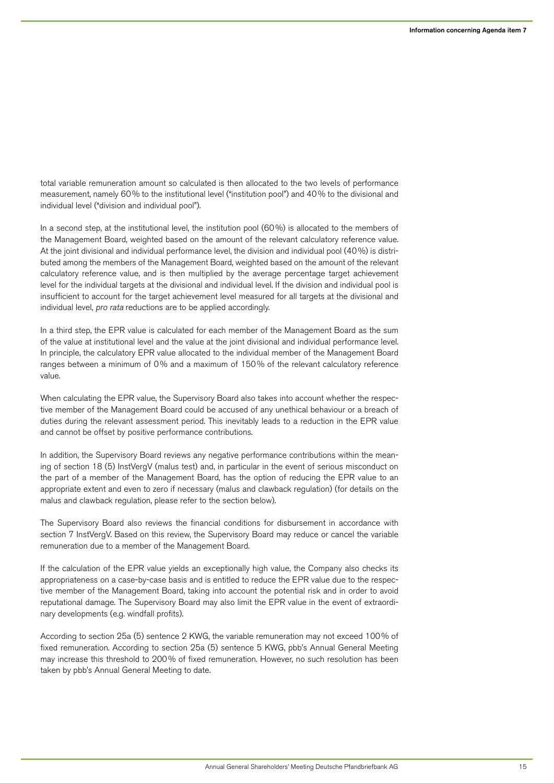total variable remuneration amount so calculated is then allocated to the two levels of performance measurement, namely 60% to the institutional level ("institution pool") and 40% to the divisional and individual level ("division and individual pool").

In a second step, at the institutional level, the institution pool (60%) is allocated to the members of the Management Board, weighted based on the amount of the relevant calculatory reference value. At the joint divisional and individual performance level, the division and individual pool (40%) is distributed among the members of the Management Board, weighted based on the amount of the relevant calculatory reference value, and is then multiplied by the average percentage target achievement level for the individual targets at the divisional and individual level. If the division and individual pool is insufficient to account for the target achievement level measured for all targets at the divisional and individual level, pro rata reductions are to be applied accordingly.

In a third step, the EPR value is calculated for each member of the Management Board as the sum of the value at institutional level and the value at the joint divisional and individual performance level. In principle, the calculatory EPR value allocated to the individual member of the Management Board ranges between a minimum of 0% and a maximum of 150% of the relevant calculatory reference value.

When calculating the EPR value, the Supervisory Board also takes into account whether the respective member of the Management Board could be accused of any unethical behaviour or a breach of duties during the relevant assessment period. This inevitably leads to a reduction in the EPR value and cannot be offset by positive performance contributions.

In addition, the Supervisory Board reviews any negative performance contributions within the meaning of section 18 (5) InstVergV (malus test) and, in particular in the event of serious misconduct on the part of a member of the Management Board, has the option of reducing the EPR value to an appropriate extent and even to zero if necessary (malus and clawback regulation) (for details on the malus and clawback regulation, please refer to the section below).

The Supervisory Board also reviews the financial conditions for disbursement in accordance with section 7 InstVergV. Based on this review, the Supervisory Board may reduce or cancel the variable remuneration due to a member of the Management Board.

If the calculation of the EPR value yields an exceptionally high value, the Company also checks its appropriateness on a case-by-case basis and is entitled to reduce the EPR value due to the respective member of the Management Board, taking into account the potential risk and in order to avoid reputational damage. The Supervisory Board may also limit the EPR value in the event of extraordinary developments (e.g. windfall profits).

According to section 25a (5) sentence 2 KWG, the variable remuneration may not exceed 100% of fixed remuneration. According to section 25a (5) sentence 5 KWG, pbb's Annual General Meeting may increase this threshold to 200% of fixed remuneration. However, no such resolution has been taken by pbb's Annual General Meeting to date.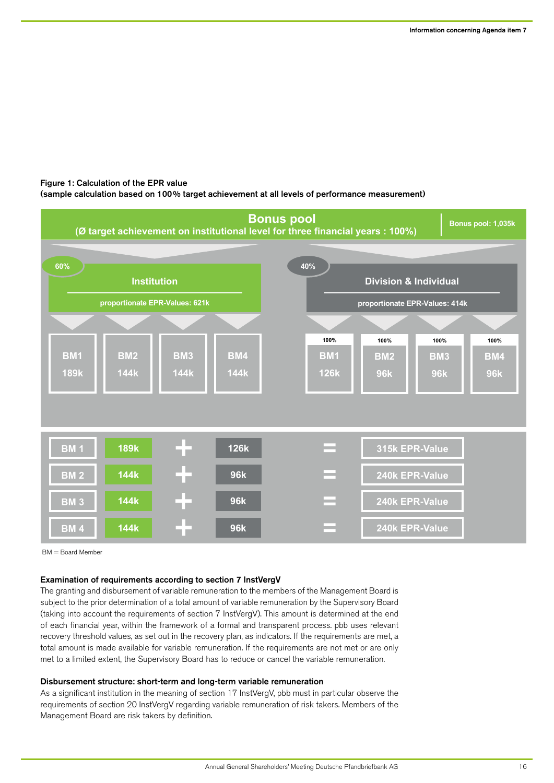# Figure 1: Calculation of the EPR value

(sample calculation based on 100% target achievement at all levels of performance measurement)



BM = Board Member

# Examination of requirements according to section 7 InstVergV

The granting and disbursement of variable remuneration to the members of the Management Board is subject to the prior determination of a total amount of variable remuneration by the Supervisory Board (taking into account the requirements of section 7 InstVergV). This amount is determined at the end of each financial year, within the framework of a formal and transparent process. pbb uses relevant recovery threshold values, as set out in the recovery plan, as indicators. If the requirements are met, a total amount is made available for variable remuneration. If the requirements are not met or are only met to a limited extent, the Supervisory Board has to reduce or cancel the variable remuneration.

#### Disbursement structure: short-term and long-term variable remuneration

As a significant institution in the meaning of section 17 InstVergV, pbb must in particular observe the requirements of section 20 InstVergV regarding variable remuneration of risk takers. Members of the Management Board are risk takers by definition.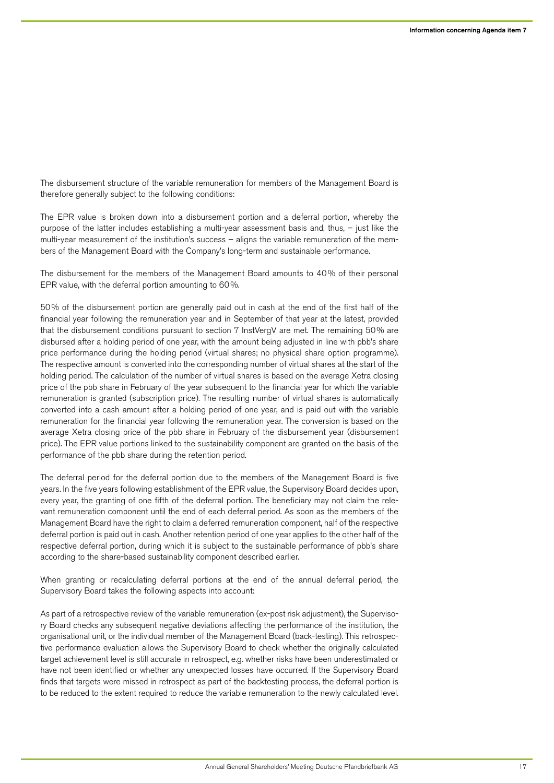The disbursement structure of the variable remuneration for members of the Management Board is therefore generally subject to the following conditions:

The EPR value is broken down into a disbursement portion and a deferral portion, whereby the purpose of the latter includes establishing a multi-year assessment basis and, thus, – just like the multi-year measurement of the institution's success – aligns the variable remuneration of the members of the Management Board with the Company's long-term and sustainable performance.

The disbursement for the members of the Management Board amounts to 40% of their personal EPR value, with the deferral portion amounting to 60%.

50% of the disbursement portion are generally paid out in cash at the end of the first half of the financial year following the remuneration year and in September of that year at the latest, provided that the disbursement conditions pursuant to section 7 InstVergV are met. The remaining 50% are disbursed after a holding period of one year, with the amount being adjusted in line with pbb's share price performance during the holding period (virtual shares; no physical share option programme). The respective amount is converted into the corresponding number of virtual shares at the start of the holding period. The calculation of the number of virtual shares is based on the average Xetra closing price of the pbb share in February of the year subsequent to the financial year for which the variable remuneration is granted (subscription price). The resulting number of virtual shares is automatically converted into a cash amount after a holding period of one year, and is paid out with the variable remuneration for the financial year following the remuneration year. The conversion is based on the average Xetra closing price of the pbb share in February of the disbursement year (disbursement price). The EPR value portions linked to the sustainability component are granted on the basis of the performance of the pbb share during the retention period.

The deferral period for the deferral portion due to the members of the Management Board is five years. In the five years following establishment of the EPR value, the Supervisory Board decides upon, every year, the granting of one fifth of the deferral portion. The beneficiary may not claim the relevant remuneration component until the end of each deferral period. As soon as the members of the Management Board have the right to claim a deferred remuneration component, half of the respective deferral portion is paid out in cash. Another retention period of one year applies to the other half of the respective deferral portion, during which it is subject to the sustainable performance of pbb's share according to the share-based sustainability component described earlier.

When granting or recalculating deferral portions at the end of the annual deferral period, the Supervisory Board takes the following aspects into account:

As part of a retrospective review of the variable remuneration (ex-post risk adjustment), the Supervisory Board checks any subsequent negative deviations affecting the performance of the institution, the organisational unit, or the individual member of the Management Board (back-testing). This retrospective performance evaluation allows the Supervisory Board to check whether the originally calculated target achievement level is still accurate in retrospect, e.g. whether risks have been underestimated or have not been identified or whether any unexpected losses have occurred. If the Supervisory Board finds that targets were missed in retrospect as part of the backtesting process, the deferral portion is to be reduced to the extent required to reduce the variable remuneration to the newly calculated level.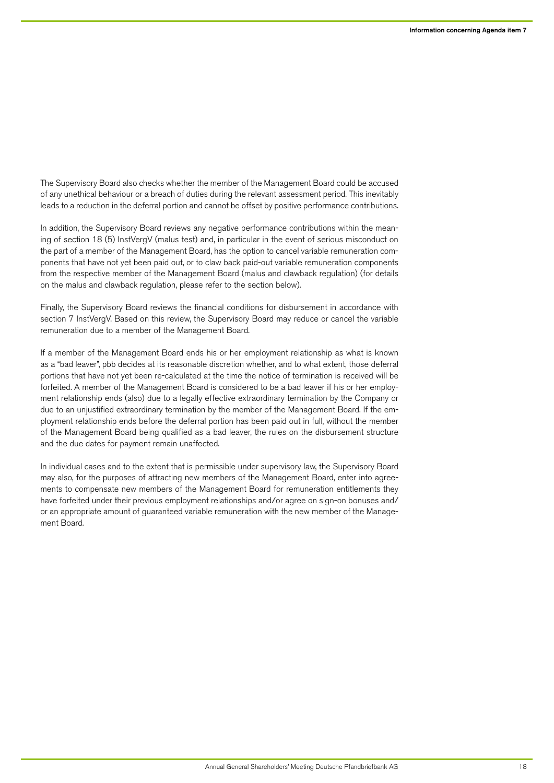The Supervisory Board also checks whether the member of the Management Board could be accused of any unethical behaviour or a breach of duties during the relevant assessment period. This inevitably leads to a reduction in the deferral portion and cannot be offset by positive performance contributions.

In addition, the Supervisory Board reviews any negative performance contributions within the meaning of section 18 (5) InstVergV (malus test) and, in particular in the event of serious misconduct on the part of a member of the Management Board, has the option to cancel variable remuneration components that have not yet been paid out, or to claw back paid-out variable remuneration components from the respective member of the Management Board (malus and clawback regulation) (for details on the malus and clawback regulation, please refer to the section below).

Finally, the Supervisory Board reviews the financial conditions for disbursement in accordance with section 7 InstVergV. Based on this review, the Supervisory Board may reduce or cancel the variable remuneration due to a member of the Management Board.

If a member of the Management Board ends his or her employment relationship as what is known as a "bad leaver", pbb decides at its reasonable discretion whether, and to what extent, those deferral portions that have not yet been re-calculated at the time the notice of termination is received will be forfeited. A member of the Management Board is considered to be a bad leaver if his or her employment relationship ends (also) due to a legally effective extraordinary termination by the Company or due to an unjustified extraordinary termination by the member of the Management Board. If the employment relationship ends before the deferral portion has been paid out in full, without the member of the Management Board being qualified as a bad leaver, the rules on the disbursement structure and the due dates for payment remain unaffected.

In individual cases and to the extent that is permissible under supervisory law, the Supervisory Board may also, for the purposes of attracting new members of the Management Board, enter into agreements to compensate new members of the Management Board for remuneration entitlements they have forfeited under their previous employment relationships and/or agree on sign-on bonuses and/ or an appropriate amount of guaranteed variable remuneration with the new member of the Management Board.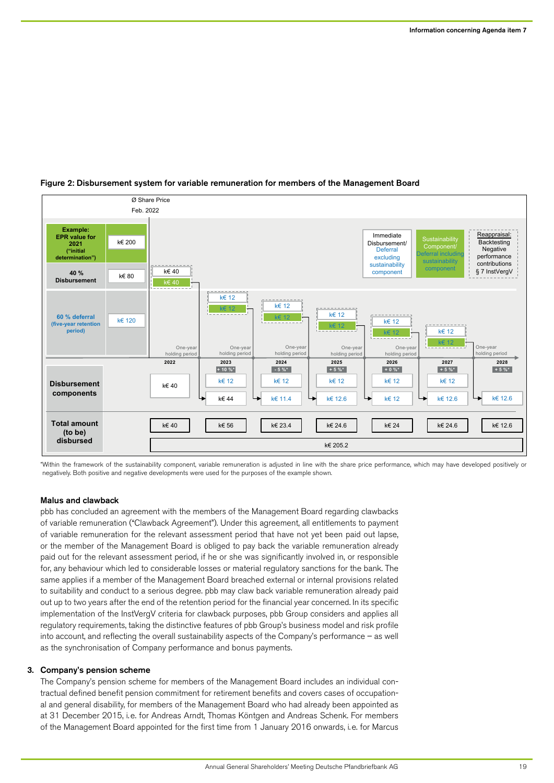

# Figure 2: Disbursement system for variable remuneration for members of the Management Board

\*Within the framework of the sustainability component, variable remuneration is adjusted in line with the share price performance, which may have developed positively or negatively. Both positive and negative developments were used for the purposes of the example shown.

# Malus and clawback

pbb has concluded an agreement with the members of the Management Board regarding clawbacks of variable remuneration ("Clawback Agreement"). Under this agreement, all entitlements to payment of variable remuneration for the relevant assessment period that have not yet been paid out lapse, or the member of the Management Board is obliged to pay back the variable remuneration already paid out for the relevant assessment period, if he or she was significantly involved in, or responsible for, any behaviour which led to considerable losses or material regulatory sanctions for the bank. The same applies if a member of the Management Board breached external or internal provisions related to suitability and conduct to a serious degree. pbb may claw back variable remuneration already paid out up to two years after the end of the retention period for the financial year concerned. In its specific implementation of the InstVergV criteria for clawback purposes, pbb Group considers and applies all regulatory requirements, taking the distinctive features of pbb Group's business model and risk profile into account, and reflecting the overall sustainability aspects of the Company's performance – as well as the synchronisation of Company performance and bonus payments.

# 3. Company's pension scheme

The Company's pension scheme for members of the Management Board includes an individual contractual defined benefit pension commitment for retirement benefits and covers cases of occupational and general disability, for members of the Management Board who had already been appointed as at 31 December 2015, i.e. for Andreas Arndt, Thomas Köntgen and Andreas Schenk. For members of the Management Board appointed for the first time from 1 January 2016 onwards, i.e. for Marcus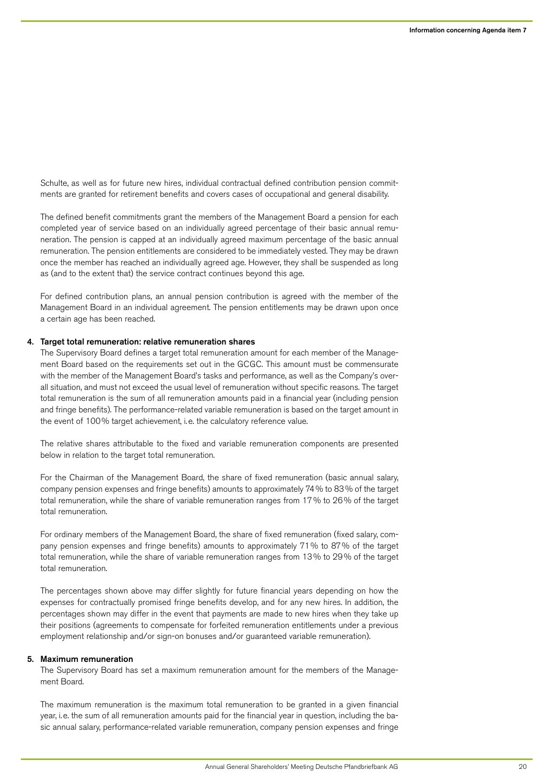Schulte, as well as for future new hires, individual contractual defined contribution pension commitments are granted for retirement benefits and covers cases of occupational and general disability.

The defined benefit commitments grant the members of the Management Board a pension for each completed year of service based on an individually agreed percentage of their basic annual remuneration. The pension is capped at an individually agreed maximum percentage of the basic annual remuneration. The pension entitlements are considered to be immediately vested. They may be drawn once the member has reached an individually agreed age. However, they shall be suspended as long as (and to the extent that) the service contract continues beyond this age.

For defined contribution plans, an annual pension contribution is agreed with the member of the Management Board in an individual agreement. The pension entitlements may be drawn upon once a certain age has been reached.

#### 4. Target total remuneration: relative remuneration shares

The Supervisory Board defines a target total remuneration amount for each member of the Management Board based on the requirements set out in the GCGC. This amount must be commensurate with the member of the Management Board's tasks and performance, as well as the Company's overall situation, and must not exceed the usual level of remuneration without specific reasons. The target total remuneration is the sum of all remuneration amounts paid in a financial year (including pension and fringe benefits). The performance-related variable remuneration is based on the target amount in the event of 100% target achievement, i.e. the calculatory reference value.

The relative shares attributable to the fixed and variable remuneration components are presented below in relation to the target total remuneration.

For the Chairman of the Management Board, the share of fixed remuneration (basic annual salary, company pension expenses and fringe benefits) amounts to approximately 74% to 83% of the target total remuneration, while the share of variable remuneration ranges from 17% to 26% of the target total remuneration.

For ordinary members of the Management Board, the share of fixed remuneration (fixed salary, company pension expenses and fringe benefits) amounts to approximately 71% to 87% of the target total remuneration, while the share of variable remuneration ranges from 13% to 29% of the target total remuneration.

The percentages shown above may differ slightly for future financial years depending on how the expenses for contractually promised fringe benefits develop, and for any new hires. In addition, the percentages shown may differ in the event that payments are made to new hires when they take up their positions (agreements to compensate for forfeited remuneration entitlements under a previous employment relationship and/or sign-on bonuses and/or guaranteed variable remuneration).

### 5. Maximum remuneration

The Supervisory Board has set a maximum remuneration amount for the members of the Management Board.

The maximum remuneration is the maximum total remuneration to be granted in a given financial year, i.e. the sum of all remuneration amounts paid for the financial year in question, including the basic annual salary, performance-related variable remuneration, company pension expenses and fringe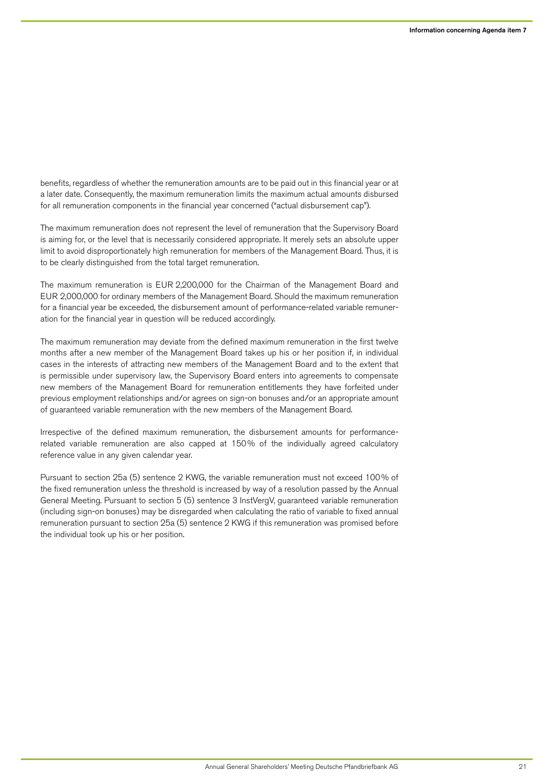benefits, regardless of whether the remuneration amounts are to be paid out in this financial year or at a later date. Consequently, the maximum remuneration limits the maximum actual amounts disbursed for all remuneration components in the financial year concerned ("actual disbursement cap").

The maximum remuneration does not represent the level of remuneration that the Supervisory Board is aiming for, or the level that is necessarily considered appropriate. It merely sets an absolute upper limit to avoid disproportionately high remuneration for members of the Management Board. Thus, it is to be clearly distinguished from the total target remuneration.

The maximum remuneration is EUR 2,200,000 for the Chairman of the Management Board and EUR 2,000,000 for ordinary members of the Management Board. Should the maximum remuneration for a financial year be exceeded, the disbursement amount of performance-related variable remuneration for the financial year in question will be reduced accordingly.

The maximum remuneration may deviate from the defined maximum remuneration in the first twelve months after a new member of the Management Board takes up his or her position if, in individual cases in the interests of attracting new members of the Management Board and to the extent that is permissible under supervisory law, the Supervisory Board enters into agreements to compensate new members of the Management Board for remuneration entitlements they have forfeited under previous employment relationships and/or agrees on sign-on bonuses and/or an appropriate amount of guaranteed variable remuneration with the new members of the Management Board.

Irrespective of the defined maximum remuneration, the disbursement amounts for performancerelated variable remuneration are also capped at 150% of the individually agreed calculatory reference value in any given calendar year.

Pursuant to section 25a (5) sentence 2 KWG, the variable remuneration must not exceed 100% of the fixed remuneration unless the threshold is increased by way of a resolution passed by the Annual General Meeting. Pursuant to section 5 (5) sentence 3 InstVergV, guaranteed variable remuneration (including sign-on bonuses) may be disregarded when calculating the ratio of variable to fixed annual remuneration pursuant to section 25a (5) sentence 2 KWG if this remuneration was promised before the individual took up his or her position.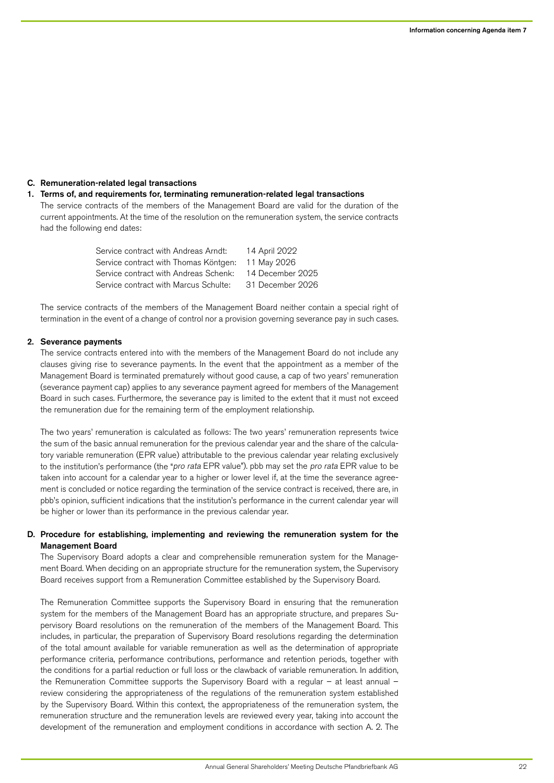# C. Remuneration-related legal transactions

#### 1. Terms of, and requirements for, terminating remuneration-related legal transactions

The service contracts of the members of the Management Board are valid for the duration of the current appointments. At the time of the resolution on the remuneration system, the service contracts had the following end dates:

> Service contract with Andreas Arndt: 14 April 2022 Service contract with Thomas Köntgen: 11 May 2026 Service contract with Andreas Schenk: 14 December 2025 Service contract with Marcus Schulte: 31 December 2026

The service contracts of the members of the Management Board neither contain a special right of termination in the event of a change of control nor a provision governing severance pay in such cases.

## 2. Severance payments

The service contracts entered into with the members of the Management Board do not include any clauses giving rise to severance payments. In the event that the appointment as a member of the Management Board is terminated prematurely without good cause, a cap of two years' remuneration (severance payment cap) applies to any severance payment agreed for members of the Management Board in such cases. Furthermore, the severance pay is limited to the extent that it must not exceed the remuneration due for the remaining term of the employment relationship.

The two years' remuneration is calculated as follows: The two years' remuneration represents twice the sum of the basic annual remuneration for the previous calendar year and the share of the calculatory variable remuneration (EPR value) attributable to the previous calendar year relating exclusively to the institution's performance (the "pro rata EPR value"). pbb may set the pro rata EPR value to be taken into account for a calendar year to a higher or lower level if, at the time the severance agreement is concluded or notice regarding the termination of the service contract is received, there are, in pbb's opinion, sufficient indications that the institution's performance in the current calendar year will be higher or lower than its performance in the previous calendar year.

## D. Procedure for establishing, implementing and reviewing the remuneration system for the Management Board

The Supervisory Board adopts a clear and comprehensible remuneration system for the Management Board. When deciding on an appropriate structure for the remuneration system, the Supervisory Board receives support from a Remuneration Committee established by the Supervisory Board.

The Remuneration Committee supports the Supervisory Board in ensuring that the remuneration system for the members of the Management Board has an appropriate structure, and prepares Supervisory Board resolutions on the remuneration of the members of the Management Board. This includes, in particular, the preparation of Supervisory Board resolutions regarding the determination of the total amount available for variable remuneration as well as the determination of appropriate performance criteria, performance contributions, performance and retention periods, together with the conditions for a partial reduction or full loss or the clawback of variable remuneration. In addition, the Remuneration Committee supports the Supervisory Board with a regular – at least annual – review considering the appropriateness of the regulations of the remuneration system established by the Supervisory Board. Within this context, the appropriateness of the remuneration system, the remuneration structure and the remuneration levels are reviewed every year, taking into account the development of the remuneration and employment conditions in accordance with section A. 2. The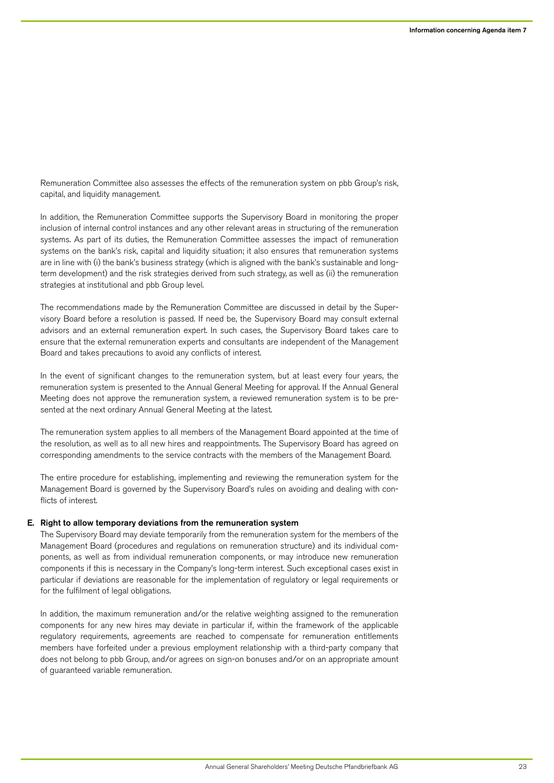Remuneration Committee also assesses the effects of the remuneration system on pbb Group's risk, capital, and liquidity management.

In addition, the Remuneration Committee supports the Supervisory Board in monitoring the proper inclusion of internal control instances and any other relevant areas in structuring of the remuneration systems. As part of its duties, the Remuneration Committee assesses the impact of remuneration systems on the bank's risk, capital and liquidity situation; it also ensures that remuneration systems are in line with (i) the bank's business strategy (which is aligned with the bank's sustainable and longterm development) and the risk strategies derived from such strategy, as well as (ii) the remuneration strategies at institutional and pbb Group level.

The recommendations made by the Remuneration Committee are discussed in detail by the Supervisory Board before a resolution is passed. If need be, the Supervisory Board may consult external advisors and an external remuneration expert. In such cases, the Supervisory Board takes care to ensure that the external remuneration experts and consultants are independent of the Management Board and takes precautions to avoid any conflicts of interest.

In the event of significant changes to the remuneration system, but at least every four years, the remuneration system is presented to the Annual General Meeting for approval. If the Annual General Meeting does not approve the remuneration system, a reviewed remuneration system is to be presented at the next ordinary Annual General Meeting at the latest.

The remuneration system applies to all members of the Management Board appointed at the time of the resolution, as well as to all new hires and reappointments. The Supervisory Board has agreed on corresponding amendments to the service contracts with the members of the Management Board.

The entire procedure for establishing, implementing and reviewing the remuneration system for the Management Board is governed by the Supervisory Board's rules on avoiding and dealing with conflicts of interest.

# E. Right to allow temporary deviations from the remuneration system

The Supervisory Board may deviate temporarily from the remuneration system for the members of the Management Board (procedures and regulations on remuneration structure) and its individual components, as well as from individual remuneration components, or may introduce new remuneration components if this is necessary in the Company's long-term interest. Such exceptional cases exist in particular if deviations are reasonable for the implementation of regulatory or legal requirements or for the fulfilment of legal obligations.

In addition, the maximum remuneration and/or the relative weighting assigned to the remuneration components for any new hires may deviate in particular if, within the framework of the applicable regulatory requirements, agreements are reached to compensate for remuneration entitlements members have forfeited under a previous employment relationship with a third-party company that does not belong to pbb Group, and/or agrees on sign-on bonuses and/or on an appropriate amount of guaranteed variable remuneration.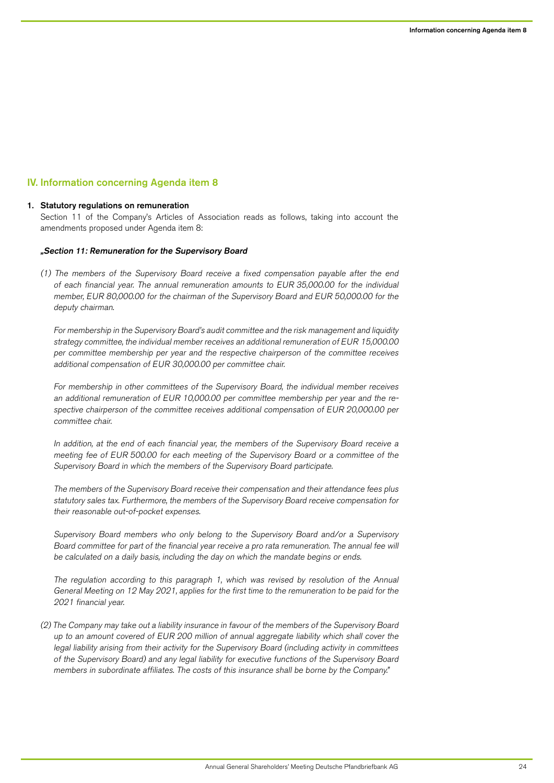# IV. Information concerning Agenda item 8

#### 1. Statutory regulations on remuneration

Section 11 of the Company's Articles of Association reads as follows, taking into account the amendments proposed under Agenda item 8:

## "Section 11: Remuneration for the Supervisory Board

(1) The members of the Supervisory Board receive a fixed compensation payable after the end of each financial year. The annual remuneration amounts to EUR 35,000.00 for the individual member, EUR 80,000.00 for the chairman of the Supervisory Board and EUR 50,000.00 for the deputy chairman.

For membership in the Supervisory Board's audit committee and the risk management and liquidity strategy committee, the individual member receives an additional remuneration of EUR 15,000.00 per committee membership per year and the respective chairperson of the committee receives additional compensation of EUR 30,000.00 per committee chair.

For membership in other committees of the Supervisory Board, the individual member receives an additional remuneration of EUR 10,000.00 per committee membership per year and the respective chairperson of the committee receives additional compensation of EUR 20,000.00 per committee chair.

In addition, at the end of each financial year, the members of the Supervisory Board receive a meeting fee of EUR 500.00 for each meeting of the Supervisory Board or a committee of the Supervisory Board in which the members of the Supervisory Board participate.

The members of the Supervisory Board receive their compensation and their attendance fees plus statutory sales tax. Furthermore, the members of the Supervisory Board receive compensation for their reasonable out-of-pocket expenses.

Supervisory Board members who only belong to the Supervisory Board and/or a Supervisory Board committee for part of the financial year receive a pro rata remuneration. The annual fee will be calculated on a daily basis, including the day on which the mandate begins or ends.

The regulation according to this paragraph 1, which was revised by resolution of the Annual General Meeting on 12 May 2021, applies for the first time to the remuneration to be paid for the 2021 financial year.

(2) The Company may take out a liability insurance in favour of the members of the Supervisory Board up to an amount covered of EUR 200 million of annual aggregate liability which shall cover the legal liability arising from their activity for the Supervisory Board (including activity in committees of the Supervisory Board) and any legal liability for executive functions of the Supervisory Board members in subordinate affiliates. The costs of this insurance shall be borne by the Company."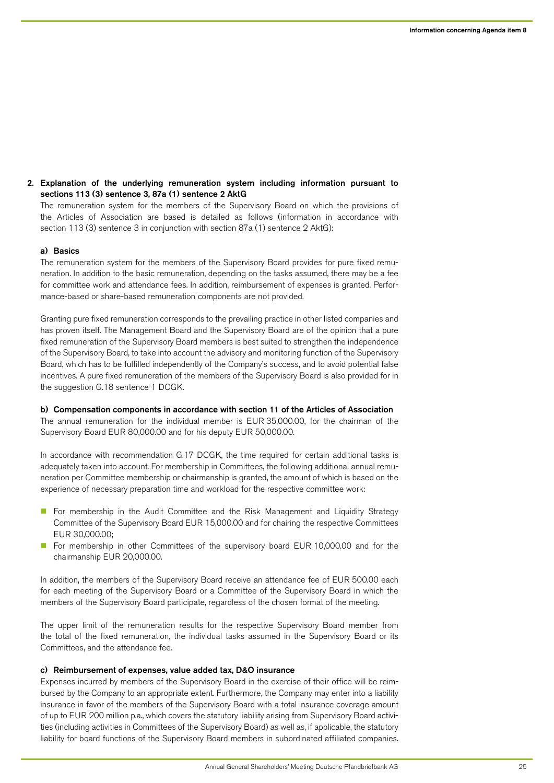2. Explanation of the underlying remuneration system including information pursuant to sections 113 (3) sentence 3, 87a (1) sentence 2 AktG

The remuneration system for the members of the Supervisory Board on which the provisions of the Articles of Association are based is detailed as follows (information in accordance with section 113 (3) sentence 3 in conjunction with section 87a (1) sentence 2 AktG):

#### a) Basics

The remuneration system for the members of the Supervisory Board provides for pure fixed remuneration. In addition to the basic remuneration, depending on the tasks assumed, there may be a fee for committee work and attendance fees. In addition, reimbursement of expenses is granted. Performance-based or share-based remuneration components are not provided.

Granting pure fixed remuneration corresponds to the prevailing practice in other listed companies and has proven itself. The Management Board and the Supervisory Board are of the opinion that a pure fixed remuneration of the Supervisory Board members is best suited to strengthen the independence of the Supervisory Board, to take into account the advisory and monitoring function of the Supervisory Board, which has to be fulfilled independently of the Company's success, and to avoid potential false incentives. A pure fixed remuneration of the members of the Supervisory Board is also provided for in the suggestion G.18 sentence 1 DCGK.

b) Compensation components in accordance with section 11 of the Articles of Association The annual remuneration for the individual member is EUR 35,000.00, for the chairman of the Supervisory Board EUR 80,000.00 and for his deputy EUR 50,000.00.

In accordance with recommendation G.17 DCGK, the time required for certain additional tasks is adequately taken into account. For membership in Committees, the following additional annual remuneration per Committee membership or chairmanship is granted, the amount of which is based on the experience of necessary preparation time and workload for the respective committee work:

- For membership in the Audit Committee and the Risk Management and Liquidity Strategy Committee of the Supervisory Board EUR 15,000.00 and for chairing the respective Committees EUR 30,000.00;
- **n** For membership in other Committees of the supervisory board EUR 10,000.00 and for the chairmanship EUR 20,000.00.

In addition, the members of the Supervisory Board receive an attendance fee of EUR 500.00 each for each meeting of the Supervisory Board or a Committee of the Supervisory Board in which the members of the Supervisory Board participate, regardless of the chosen format of the meeting.

The upper limit of the remuneration results for the respective Supervisory Board member from the total of the fixed remuneration, the individual tasks assumed in the Supervisory Board or its Committees, and the attendance fee.

#### c) Reimbursement of expenses, value added tax, D&O insurance

Expenses incurred by members of the Supervisory Board in the exercise of their office will be reimbursed by the Company to an appropriate extent. Furthermore, the Company may enter into a liability insurance in favor of the members of the Supervisory Board with a total insurance coverage amount of up to EUR 200 million p.a., which covers the statutory liability arising from Supervisory Board activities (including activities in Committees of the Supervisory Board) as well as, if applicable, the statutory liability for board functions of the Supervisory Board members in subordinated affiliated companies.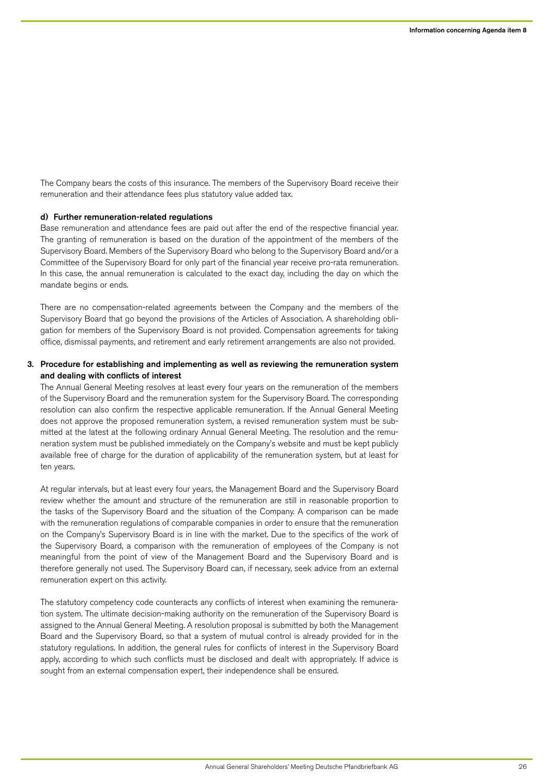The Company bears the costs of this insurance. The members of the Supervisory Board receive their remuneration and their attendance fees plus statutory value added tax.

#### d) Further remuneration-related regulations

Base remuneration and attendance fees are paid out after the end of the respective financial year. The granting of remuneration is based on the duration of the appointment of the members of the Supervisory Board. Members of the Supervisory Board who belong to the Supervisory Board and/or a Committee of the Supervisory Board for only part of the financial year receive pro-rata remuneration. In this case, the annual remuneration is calculated to the exact day, including the day on which the mandate begins or ends.

There are no compensation-related agreements between the Company and the members of the Supervisory Board that go beyond the provisions of the Articles of Association. A shareholding obligation for members of the Supervisory Board is not provided. Compensation agreements for taking office, dismissal payments, and retirement and early retirement arrangements are also not provided.

# 3. Procedure for establishing and implementing as well as reviewing the remuneration system and dealing with conflicts of interest

The Annual General Meeting resolves at least every four years on the remuneration of the members of the Supervisory Board and the remuneration system for the Supervisory Board. The corresponding resolution can also confirm the respective applicable remuneration. If the Annual General Meeting does not approve the proposed remuneration system, a revised remuneration system must be submitted at the latest at the following ordinary Annual General Meeting. The resolution and the remuneration system must be published immediately on the Company's website and must be kept publicly available free of charge for the duration of applicability of the remuneration system, but at least for ten years.

At regular intervals, but at least every four years, the Management Board and the Supervisory Board review whether the amount and structure of the remuneration are still in reasonable proportion to the tasks of the Supervisory Board and the situation of the Company. A comparison can be made with the remuneration regulations of comparable companies in order to ensure that the remuneration on the Company's Supervisory Board is in line with the market. Due to the specifics of the work of the Supervisory Board, a comparison with the remuneration of employees of the Company is not meaningful from the point of view of the Management Board and the Supervisory Board and is therefore generally not used. The Supervisory Board can, if necessary, seek advice from an external remuneration expert on this activity.

The statutory competency code counteracts any conflicts of interest when examining the remuneration system. The ultimate decision-making authority on the remuneration of the Supervisory Board is assigned to the Annual General Meeting. A resolution proposal is submitted by both the Management Board and the Supervisory Board, so that a system of mutual control is already provided for in the statutory regulations. In addition, the general rules for conflicts of interest in the Supervisory Board apply, according to which such conflicts must be disclosed and dealt with appropriately. If advice is sought from an external compensation expert, their independence shall be ensured.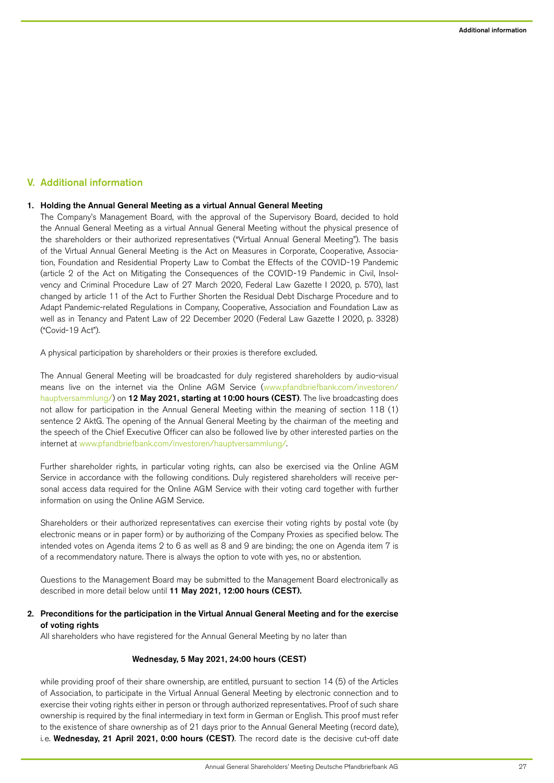# V. Additional information

## 1. Holding the Annual General Meeting as a virtual Annual General Meeting

The Company's Management Board, with the approval of the Supervisory Board, decided to hold the Annual General Meeting as a virtual Annual General Meeting without the physical presence of the shareholders or their authorized representatives ("Virtual Annual General Meeting"). The basis of the Virtual Annual General Meeting is the Act on Measures in Corporate, Cooperative, Association, Foundation and Residential Property Law to Combat the Effects of the COVID-19 Pandemic (article 2 of the Act on Mitigating the Consequences of the COVID-19 Pandemic in Civil, Insolvency and Criminal Procedure Law of 27 March 2020, Federal Law Gazette I 2020, p. 570), last changed by article 11 of the Act to Further Shorten the Residual Debt Discharge Procedure and to Adapt Pandemic-related Regulations in Company, Cooperative, Association and Foundation Law as well as in Tenancy and Patent Law of 22 December 2020 (Federal Law Gazette I 2020, p. 3328) ("Covid-19 Act").

A physical participation by shareholders or their proxies is therefore excluded.

The Annual General Meeting will be broadcasted for duly registered shareholders by audio-visual means live on the internet via the Online AGM Service [\(www.pfandbriefbank.com/investoren/](http://www.pfandbriefbank.com/investoren/hauptversammlung/) [hauptversammlung/\)](http://www.pfandbriefbank.com/investoren/hauptversammlung/) on 12 May 2021, starting at 10:00 hours (CEST). The live broadcasting does not allow for participation in the Annual General Meeting within the meaning of section 118 (1) sentence 2 AktG. The opening of the Annual General Meeting by the chairman of the meeting and the speech of the Chief Executive Officer can also be followed live by other interested parties on the internet at [www.pfandbriefbank.com/investoren/hauptversammlung/.](http://www.pfandbriefbank.com/investoren/hauptversammlung/)

Further shareholder rights, in particular voting rights, can also be exercised via the Online AGM Service in accordance with the following conditions. Duly registered shareholders will receive personal access data required for the Online AGM Service with their voting card together with further information on using the Online AGM Service.

Shareholders or their authorized representatives can exercise their voting rights by postal vote (by electronic means or in paper form) or by authorizing of the Company Proxies as specified below. The intended votes on Agenda items 2 to 6 as well as 8 and 9 are binding; the one on Agenda item 7 is of a recommendatory nature. There is always the option to vote with yes, no or abstention.

Questions to the Management Board may be submitted to the Management Board electronically as described in more detail below until 11 May 2021, 12:00 hours (CEST).

## 2. Preconditions for the participation in the Virtual Annual General Meeting and for the exercise of voting rights

All shareholders who have registered for the Annual General Meeting by no later than

# Wednesday, 5 May 2021, 24:00 hours (CEST)

while providing proof of their share ownership, are entitled, pursuant to section 14 (5) of the Articles of Association, to participate in the Virtual Annual General Meeting by electronic connection and to exercise their voting rights either in person or through authorized representatives. Proof of such share ownership is required by the final intermediary in text form in German or English. This proof must refer to the existence of share ownership as of 21 days prior to the Annual General Meeting (record date), i.e. Wednesday, 21 April 2021, 0:00 hours (CEST). The record date is the decisive cut-off date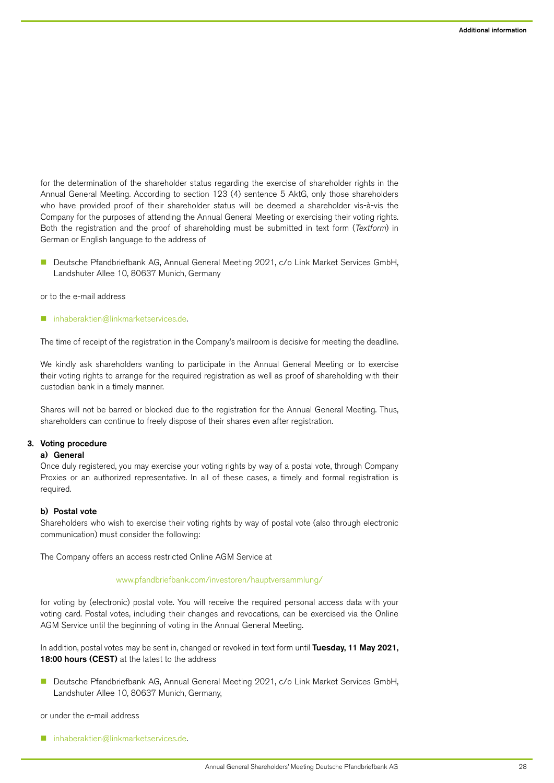for the determination of the shareholder status regarding the exercise of shareholder rights in the Annual General Meeting. According to section 123 (4) sentence 5 AktG, only those shareholders who have provided proof of their shareholder status will be deemed a shareholder vis-à-vis the Company for the purposes of attending the Annual General Meeting or exercising their voting rights. Both the registration and the proof of shareholding must be submitted in text form (Textform) in German or English language to the address of

■ Deutsche Pfandbriefbank AG, Annual General Meeting 2021, c/o Link Market Services GmbH, Landshuter Allee 10, 80637 Munich, Germany

or to the e-mail address

[inhaberaktien@linkmarketservices.de.](mailto:inhaberaktien%40linkmarketservices.de?subject=)

The time of receipt of the registration in the Company's mailroom is decisive for meeting the deadline.

We kindly ask shareholders wanting to participate in the Annual General Meeting or to exercise their voting rights to arrange for the required registration as well as proof of shareholding with their custodian bank in a timely manner.

Shares will not be barred or blocked due to the registration for the Annual General Meeting. Thus, shareholders can continue to freely dispose of their shares even after registration.

## 3. Voting procedure

#### a) General

Once duly registered, you may exercise your voting rights by way of a postal vote, through Company Proxies or an authorized representative. In all of these cases, a timely and formal registration is required.

#### b) Postal vote

Shareholders who wish to exercise their voting rights by way of postal vote (also through electronic communication) must consider the following:

The Company offers an access restricted Online AGM Service at

#### [www.pfandbriefbank.com/investoren/hauptversammlung/](http://www.pfandbriefbank.com/investoren/hauptversammlung/)

for voting by (electronic) postal vote. You will receive the required personal access data with your voting card. Postal votes, including their changes and revocations, can be exercised via the Online AGM Service until the beginning of voting in the Annual General Meeting.

In addition, postal votes may be sent in, changed or revoked in text form until Tuesday, 11 May 2021, 18:00 hours (CEST) at the latest to the address

n Deutsche Pfandbriefbank AG, Annual General Meeting 2021, c/o Link Market Services GmbH, Landshuter Allee 10, 80637 Munich, Germany,

or under the e-mail address

[inhaberaktien@linkmarketservices.de.](mailto:inhaberaktien%40linkmarketservices.de?subject=)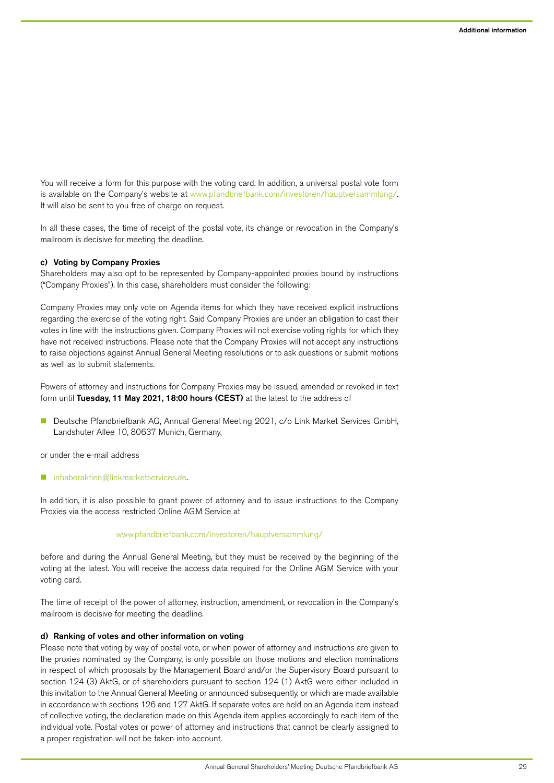You will receive a form for this purpose with the voting card. In addition, a universal postal vote form is available on the Company's website at [www.pfandbriefbank.com/investoren/hauptversammlung/.](http://www.pfandbriefbank.com/investoren/hauptversammlung/) It will also be sent to you free of charge on request.

In all these cases, the time of receipt of the postal vote, its change or revocation in the Company's mailroom is decisive for meeting the deadline.

#### c) Voting by Company Proxies

Shareholders may also opt to be represented by Company-appointed proxies bound by instructions ("Company Proxies"). In this case, shareholders must consider the following:

Company Proxies may only vote on Agenda items for which they have received explicit instructions regarding the exercise of the voting right. Said Company Proxies are under an obligation to cast their votes in line with the instructions given. Company Proxies will not exercise voting rights for which they have not received instructions. Please note that the Company Proxies will not accept any instructions to raise objections against Annual General Meeting resolutions or to ask questions or submit motions as well as to submit statements.

Powers of attorney and instructions for Company Proxies may be issued, amended or revoked in text form until Tuesday, 11 May 2021, 18:00 hours (CEST) at the latest to the address of

■ Deutsche Pfandbriefbank AG, Annual General Meeting 2021, c/o Link Market Services GmbH, Landshuter Allee 10, 80637 Munich, Germany,

or under the e-mail address

[inhaberaktien@linkmarketservices.de.](mailto:inhaberaktien%40linkmarketservices.de?subject=)

In addition, it is also possible to grant power of attorney and to issue instructions to the Company Proxies via the access restricted Online AGM Service at

#### [www.pfandbriefbank.com/investoren/hauptversammlung/](http://www.pfandbriefbank.com/investoren/hauptversammlung/)

before and during the Annual General Meeting, but they must be received by the beginning of the voting at the latest. You will receive the access data required for the Online AGM Service with your voting card.

The time of receipt of the power of attorney, instruction, amendment, or revocation in the Company's mailroom is decisive for meeting the deadline.

#### d) Ranking of votes and other information on voting

Please note that voting by way of postal vote, or when power of attorney and instructions are given to the proxies nominated by the Company, is only possible on those motions and election nominations in respect of which proposals by the Management Board and/or the Supervisory Board pursuant to section 124 (3) AktG, or of shareholders pursuant to section 124 (1) AktG were either included in this invitation to the Annual General Meeting or announced subsequently, or which are made available in accordance with sections 126 and 127 AktG. If separate votes are held on an Agenda item instead of collective voting, the declaration made on this Agenda item applies accordingly to each item of the individual vote. Postal votes or power of attorney and instructions that cannot be clearly assigned to a proper registration will not be taken into account.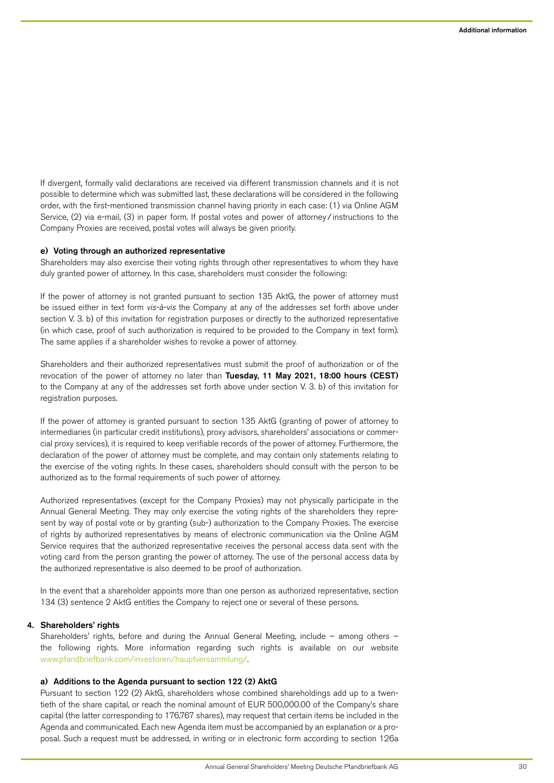If divergent, formally valid declarations are received via different transmission channels and it is not possible to determine which was submitted last, these declarations will be considered in the following order, with the first-mentioned transmission channel having priority in each case: (1) via Online AGM Service, (2) via e-mail, (3) in paper form. If postal votes and power of attorney/instructions to the Company Proxies are received, postal votes will always be given priority.

## e) Voting through an authorized representative

Shareholders may also exercise their voting rights through other representatives to whom they have duly granted power of attorney. In this case, shareholders must consider the following:

If the power of attorney is not granted pursuant to section 135 AktG, the power of attorney must be issued either in text form vis-à-vis the Company at any of the addresses set forth above under section V. 3. b) of this invitation for registration purposes or directly to the authorized representative (in which case, proof of such authorization is required to be provided to the Company in text form). The same applies if a shareholder wishes to revoke a power of attorney.

Shareholders and their authorized representatives must submit the proof of authorization or of the revocation of the power of attorney no later than Tuesday, 11 May 2021, 18:00 hours (CEST) to the Company at any of the addresses set forth above under section V. 3. b) of this invitation for registration purposes.

If the power of attorney is granted pursuant to section 135 AktG (granting of power of attorney to intermediaries (in particular credit institutions), proxy advisors, shareholders' associations or commercial proxy services), it is required to keep verifiable records of the power of attorney. Furthermore, the declaration of the power of attorney must be complete, and may contain only statements relating to the exercise of the voting rights. In these cases, shareholders should consult with the person to be authorized as to the formal requirements of such power of attorney.

Authorized representatives (except for the Company Proxies) may not physically participate in the Annual General Meeting. They may only exercise the voting rights of the shareholders they represent by way of postal vote or by granting (sub-) authorization to the Company Proxies. The exercise of rights by authorized representatives by means of electronic communication via the Online AGM Service requires that the authorized representative receives the personal access data sent with the voting card from the person granting the power of attorney. The use of the personal access data by the authorized representative is also deemed to be proof of authorization.

In the event that a shareholder appoints more than one person as authorized representative, section 134 (3) sentence 2 AktG entitles the Company to reject one or several of these persons.

#### 4. Shareholders' rights

Shareholders' rights, before and during the Annual General Meeting, include – among others – the following rights. More information regarding such rights is available on our website [www.pfandbriefbank.com/investoren/hauptversammlung](http://www.pfandbriefbank.com/investoren/hauptversammlung/)/.

### a) Additions to the Agenda pursuant to section 122 (2) AktG

Pursuant to section 122 (2) AktG, shareholders whose combined shareholdings add up to a twentieth of the share capital, or reach the nominal amount of EUR 500,000.00 of the Company's share capital (the latter corresponding to 176,767 shares), may request that certain items be included in the Agenda and communicated. Each new Agenda item must be accompanied by an explanation or a proposal. Such a request must be addressed, in writing or in electronic form according to section 126a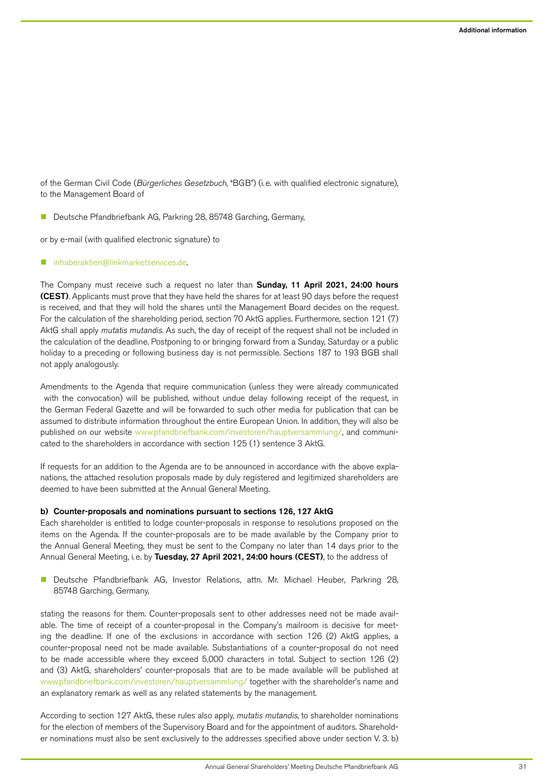of the German Civil Code (Bürgerliches Gesetzbuch, "BGB") (i.e. with qualified electronic signature), to the Management Board of

Deutsche Pfandbriefbank AG, Parkring 28, 85748 Garching, Germany,

or by e-mail (with qualified electronic signature) to

[inhaberaktien@linkmarketservices.de.](mailto:inhaberaktien%40linkmarketservices.de?subject=)

The Company must receive such a request no later than Sunday, 11 April 2021, 24:00 hours (CEST). Applicants must prove that they have held the shares for at least 90 days before the request is received, and that they will hold the shares until the Management Board decides on the request. For the calculation of the shareholding period, section 70 AktG applies. Furthermore, section 121 (7) AktG shall apply mutatis mutandis. As such, the day of receipt of the request shall not be included in the calculation of the deadline. Postponing to or bringing forward from a Sunday, Saturday or a public holiday to a preceding or following business day is not permissible. Sections 187 to 193 BGB shall not apply analogously.

Amendments to the Agenda that require communication (unless they were already communicated with the convocation) will be published, without undue delay following receipt of the request, in the German Federal Gazette and will be forwarded to such other media for publication that can be assumed to distribute information throughout the entire European Union. In addition, they will also be published on our website [www.pfandbriefbank.com/investoren/hauptversammlung/,](http://www.pfandbriefbank.com/investoren/hauptversammlung/) and communicated to the shareholders in accordance with section 125 (1) sentence 3 AktG.

If requests for an addition to the Agenda are to be announced in accordance with the above explanations, the attached resolution proposals made by duly registered and legitimized shareholders are deemed to have been submitted at the Annual General Meeting.

#### b) Counter-proposals and nominations pursuant to sections 126, 127 AktG

Each shareholder is entitled to lodge counter-proposals in response to resolutions proposed on the items on the Agenda. If the counter-proposals are to be made available by the Company prior to the Annual General Meeting, they must be sent to the Company no later than 14 days prior to the Annual General Meeting, i.e. by Tuesday, 27 April 2021, 24:00 hours (CEST), to the address of

**n** Deutsche Pfandbriefbank AG, Investor Relations, attn. Mr. Michael Heuber, Parkring 28, 85748 Garching, Germany,

stating the reasons for them. Counter-proposals sent to other addresses need not be made available. The time of receipt of a counter-proposal in the Company's mailroom is decisive for meeting the deadline. If one of the exclusions in accordance with section 126 (2) AktG applies, a counter-proposal need not be made available. Substantiations of a counter-proposal do not need to be made accessible where they exceed 5,000 characters in total. Subject to section 126 (2) and (3) AktG, shareholders' counter-proposals that are to be made available will be published at [www.pfandbriefbank.com/investoren/hauptversammlung/](http://www.pfandbriefbank.com/investoren/hauptversammlung/) together with the shareholder's name and an explanatory remark as well as any related statements by the management.

According to section 127 AktG, these rules also apply, mutatis mutandis, to shareholder nominations for the election of members of the Supervisory Board and for the appointment of auditors. Shareholder nominations must also be sent exclusively to the addresses specified above under section V. 3. b)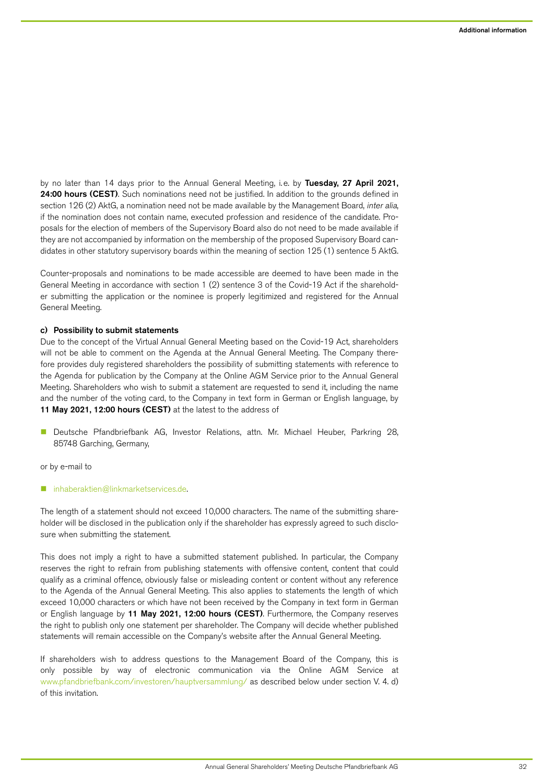by no later than 14 days prior to the Annual General Meeting, i.e. by Tuesday, 27 April 2021, 24:00 hours (CEST). Such nominations need not be justified. In addition to the grounds defined in section 126 (2) AktG, a nomination need not be made available by the Management Board, inter alia, if the nomination does not contain name, executed profession and residence of the candidate. Proposals for the election of members of the Supervisory Board also do not need to be made available if they are not accompanied by information on the membership of the proposed Supervisory Board candidates in other statutory supervisory boards within the meaning of section 125 (1) sentence 5 AktG.

Counter-proposals and nominations to be made accessible are deemed to have been made in the General Meeting in accordance with section 1 (2) sentence 3 of the Covid-19 Act if the shareholder submitting the application or the nominee is properly legitimized and registered for the Annual General Meeting.

#### c) Possibility to submit statements

Due to the concept of the Virtual Annual General Meeting based on the Covid-19 Act, shareholders will not be able to comment on the Agenda at the Annual General Meeting. The Company therefore provides duly registered shareholders the possibility of submitting statements with reference to the Agenda for publication by the Company at the Online AGM Service prior to the Annual General Meeting. Shareholders who wish to submit a statement are requested to send it, including the name and the number of the voting card, to the Company in text form in German or English language, by 11 May 2021, 12:00 hours (CEST) at the latest to the address of

■ Deutsche Pfandbriefbank AG, Investor Relations, attn. Mr. Michael Heuber, Parkring 28, 85748 Garching, Germany,

or by e-mail to

#### n [inhaberaktien@linkmarketservices.de.](mailto:inhaberaktien%40linkmarketservices.de?subject=)

The length of a statement should not exceed 10,000 characters. The name of the submitting shareholder will be disclosed in the publication only if the shareholder has expressly agreed to such disclosure when submitting the statement.

This does not imply a right to have a submitted statement published. In particular, the Company reserves the right to refrain from publishing statements with offensive content, content that could qualify as a criminal offence, obviously false or misleading content or content without any reference to the Agenda of the Annual General Meeting. This also applies to statements the length of which exceed 10,000 characters or which have not been received by the Company in text form in German or English language by 11 May 2021, 12:00 hours (CEST). Furthermore, the Company reserves the right to publish only one statement per shareholder. The Company will decide whether published statements will remain accessible on the Company's website after the Annual General Meeting.

If shareholders wish to address questions to the Management Board of the Company, this is only possible by way of electronic communication via the Online AGM Service at [www.pfandbriefbank.com/investoren/hauptversammlung/](http://www.pfandbriefbank.com/investoren/hauptversammlung/) as described below under section V. 4. d) of this invitation.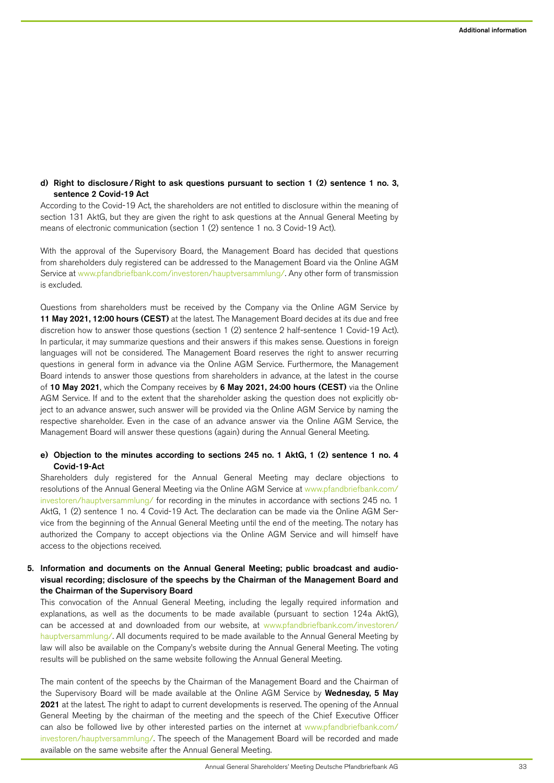# d) Right to disclosure/Right to ask questions pursuant to section 1 (2) sentence 1 no. 3, sentence 2 Covid-19 Act

According to the Covid-19 Act, the shareholders are not entitled to disclosure within the meaning of section 131 AktG, but they are given the right to ask questions at the Annual General Meeting by means of electronic communication (section 1 (2) sentence 1 no. 3 Covid-19 Act).

With the approval of the Supervisory Board, the Management Board has decided that questions from shareholders duly registered can be addressed to the Management Board via the Online AGM Service at [www.pfandbriefbank.com/investoren/hauptversammlung/](http://www.pfandbriefbank.com/investoren/hauptversammlung/). Any other form of transmission is excluded.

Questions from shareholders must be received by the Company via the Online AGM Service by 11 May 2021, 12:00 hours (CEST) at the latest. The Management Board decides at its due and free discretion how to answer those questions (section 1 (2) sentence 2 half-sentence 1 Covid-19 Act). In particular, it may summarize questions and their answers if this makes sense. Questions in foreign languages will not be considered. The Management Board reserves the right to answer recurring questions in general form in advance via the Online AGM Service. Furthermore, the Management Board intends to answer those questions from shareholders in advance, at the latest in the course of 10 May 2021, which the Company receives by 6 May 2021, 24:00 hours (CEST) via the Online AGM Service. If and to the extent that the shareholder asking the question does not explicitly object to an advance answer, such answer will be provided via the Online AGM Service by naming the respective shareholder. Even in the case of an advance answer via the Online AGM Service, the Management Board will answer these questions (again) during the Annual General Meeting.

## e) Objection to the minutes according to sections 245 no. 1 AktG, 1 (2) sentence 1 no. 4 Covid-19-Act

Shareholders duly registered for the Annual General Meeting may declare objections to resolutions of the Annual General Meeting via the Online AGM Service at [www.pfandbriefbank.com/](http://www.pfandbriefbank.com/investoren/hauptversammlung/) [investoren/hauptversammlung/](http://www.pfandbriefbank.com/investoren/hauptversammlung/) for recording in the minutes in accordance with sections 245 no. 1 AktG, 1 (2) sentence 1 no. 4 Covid-19 Act. The declaration can be made via the Online AGM Service from the beginning of the Annual General Meeting until the end of the meeting. The notary has authorized the Company to accept objections via the Online AGM Service and will himself have access to the objections received.

# 5. Information and documents on the Annual General Meeting; public broadcast and audiovisual recording; disclosure of the speechs by the Chairman of the Management Board and the Chairman of the Supervisory Board

This convocation of the Annual General Meeting, including the legally required information and explanations, as well as the documents to be made available (pursuant to section 124a AktG), can be accessed at and downloaded from our website, at [www.pfandbriefbank.com/investoren/](http://www.pfandbriefbank.com/investoren/hauptversammlung/) [hauptversammlung/.](http://www.pfandbriefbank.com/investoren/hauptversammlung/) All documents required to be made available to the Annual General Meeting by law will also be available on the Company's website during the Annual General Meeting. The voting results will be published on the same website following the Annual General Meeting.

The main content of the speechs by the Chairman of the Management Board and the Chairman of the Supervisory Board will be made available at the Online AGM Service by Wednesday, 5 May 2021 at the latest. The right to adapt to current developments is reserved. The opening of the Annual General Meeting by the chairman of the meeting and the speech of the Chief Executive Officer can also be followed live by other interested parties on the internet at [www.pfandbriefbank.com/](http://www.pfandbriefbank.com/investoren/hauptversammlung/) [investoren/hauptversammlung/.](http://www.pfandbriefbank.com/investoren/hauptversammlung/) The speech of the Management Board will be recorded and made available on the same website after the Annual General Meeting.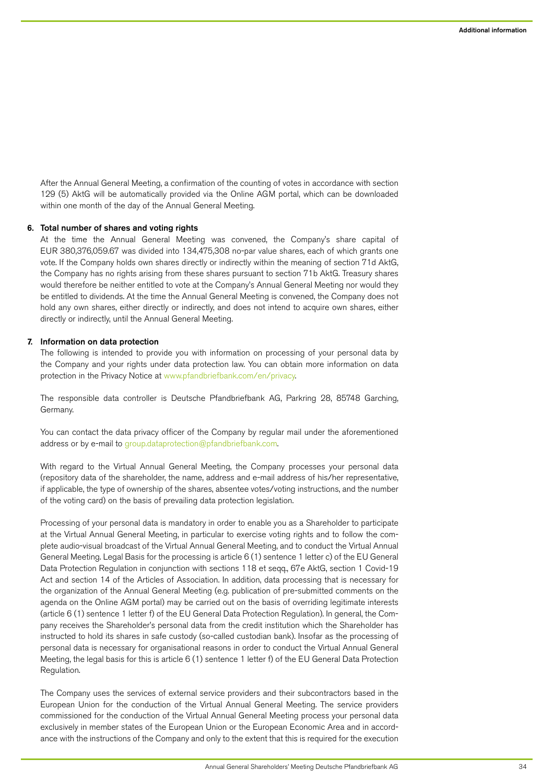After the Annual General Meeting, a confirmation of the counting of votes in accordance with section 129 (5) AktG will be automatically provided via the Online AGM portal, which can be downloaded within one month of the day of the Annual General Meeting.

#### 6. Total number of shares and voting rights

At the time the Annual General Meeting was convened, the Company's share capital of EUR 380,376,059.67 was divided into 134,475,308 no-par value shares, each of which grants one vote. If the Company holds own shares directly or indirectly within the meaning of section 71d AktG, the Company has no rights arising from these shares pursuant to section 71b AktG. Treasury shares would therefore be neither entitled to vote at the Company's Annual General Meeting nor would they be entitled to dividends. At the time the Annual General Meeting is convened, the Company does not hold any own shares, either directly or indirectly, and does not intend to acquire own shares, either directly or indirectly, until the Annual General Meeting.

## 7. Information on data protection

The following is intended to provide you with information on processing of your personal data by the Company and your rights under data protection law. You can obtain more information on data protection in the Privacy Notice at [www.pfandbriefbank.com/en/privacy](http://www.pfandbriefbank.com/en/privacy).

The responsible data controller is Deutsche Pfandbriefbank AG, Parkring 28, 85748 Garching, Germany.

You can contact the data privacy officer of the Company by regular mail under the aforementioned address or by e-mail to [group.dataprotection@pfandbriefbank.com](mailto:group.dataprotection%40pfandbriefbank.com?subject=).

With regard to the Virtual Annual General Meeting, the Company processes your personal data (repository data of the shareholder, the name, address and e-mail address of his/her representative, if applicable, the type of ownership of the shares, absentee votes/voting instructions, and the number of the voting card) on the basis of prevailing data protection legislation.

Processing of your personal data is mandatory in order to enable you as a Shareholder to participate at the Virtual Annual General Meeting, in particular to exercise voting rights and to follow the complete audio-visual broadcast of the Virtual Annual General Meeting, and to conduct the Virtual Annual General Meeting. Legal Basis for the processing is article 6 (1) sentence 1 letter c) of the EU General Data Protection Regulation in conjunction with sections 118 et segg., 67e AktG, section 1 Covid-19 Act and section 14 of the Articles of Association. In addition, data processing that is necessary for the organization of the Annual General Meeting (e.g. publication of pre-submitted comments on the agenda on the Online AGM portal) may be carried out on the basis of overriding legitimate interests (article 6 (1) sentence 1 letter f) of the EU General Data Protection Regulation). In general, the Company receives the Shareholder's personal data from the credit institution which the Shareholder has instructed to hold its shares in safe custody (so-called custodian bank). Insofar as the processing of personal data is necessary for organisational reasons in order to conduct the Virtual Annual General Meeting, the legal basis for this is article 6 (1) sentence 1 letter f) of the EU General Data Protection Regulation.

The Company uses the services of external service providers and their subcontractors based in the European Union for the conduction of the Virtual Annual General Meeting. The service providers commissioned for the conduction of the Virtual Annual General Meeting process your personal data exclusively in member states of the European Union or the European Economic Area and in accordance with the instructions of the Company and only to the extent that this is required for the execution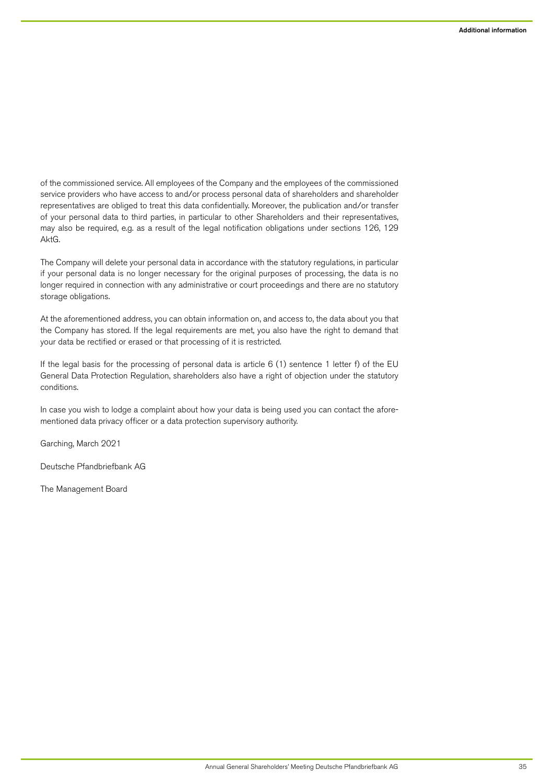of the commissioned service. All employees of the Company and the employees of the commissioned service providers who have access to and/or process personal data of shareholders and shareholder representatives are obliged to treat this data confidentially. Moreover, the publication and/or transfer of your personal data to third parties, in particular to other Shareholders and their representatives, may also be required, e.g. as a result of the legal notification obligations under sections 126, 129 AktG.

The Company will delete your personal data in accordance with the statutory regulations, in particular if your personal data is no longer necessary for the original purposes of processing, the data is no longer required in connection with any administrative or court proceedings and there are no statutory storage obligations.

At the aforementioned address, you can obtain information on, and access to, the data about you that the Company has stored. If the legal requirements are met, you also have the right to demand that your data be rectified or erased or that processing of it is restricted.

If the legal basis for the processing of personal data is article 6 (1) sentence 1 letter f) of the EU General Data Protection Regulation, shareholders also have a right of objection under the statutory conditions.

In case you wish to lodge a complaint about how your data is being used you can contact the aforementioned data privacy officer or a data protection supervisory authority.

Garching, March 2021

Deutsche Pfandbriefbank AG

The Management Board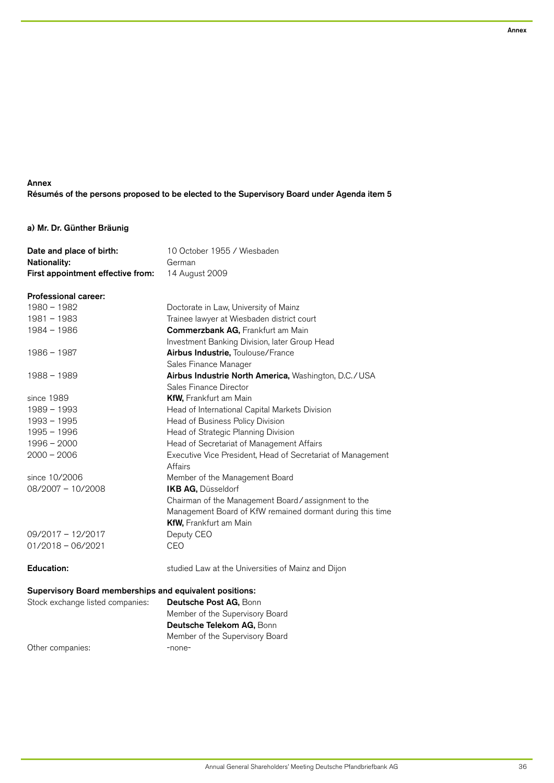# Annex Résumés of the persons proposed to be elected to the Supervisory Board under Agenda item 5

# a) Mr. Dr. Günther Bräunig

| Date and place of birth:          | 10 October 1955 / Wiesbaden |
|-----------------------------------|-----------------------------|
| <b>Nationality:</b>               | German                      |
| First appointment effective from: | 14 August 2009              |

## Professional career:

| 1980 - 1982         | Doctorate in Law, University of Mainz                                  |
|---------------------|------------------------------------------------------------------------|
| 1981 - 1983         | Trainee lawyer at Wiesbaden district court                             |
| 1984 - 1986         | <b>Commerzbank AG, Frankfurt am Main</b>                               |
|                     | Investment Banking Division, later Group Head                          |
| 1986 - 1987         | Airbus Industrie, Toulouse/France                                      |
|                     | Sales Finance Manager                                                  |
| 1988 - 1989         | Airbus Industrie North America, Washington, D.C./USA                   |
|                     | Sales Finance Director                                                 |
| since 1989          | <b>KfW, Frankfurt am Main</b>                                          |
| $1989 - 1993$       | Head of International Capital Markets Division                         |
| 1993 - 1995         | Head of Business Policy Division                                       |
| $1995 - 1996$       | Head of Strategic Planning Division                                    |
| $1996 - 2000$       | Head of Secretariat of Management Affairs                              |
| $2000 - 2006$       | Executive Vice President, Head of Secretariat of Management<br>Affairs |
| since 10/2006       | Member of the Management Board                                         |
| 08/2007 - 10/2008   | IKB AG, Düsseldorf                                                     |
|                     | Chairman of the Management Board / assignment to the                   |
|                     | Management Board of KfW remained dormant during this time              |
|                     | KfW, Frankfurt am Main                                                 |
| $09/2017 - 12/2017$ | Deputy CEO                                                             |
| $01/2018 - 06/2021$ | CEO                                                                    |
|                     |                                                                        |
| <b>Education:</b>   | studied Law at the Universities of Mainz and Dijon                     |
|                     |                                                                        |

# Supervisory Board memberships and equivalent positions:

Stock exchange listed companies: Deutsche Post AG, Bonn Member of the Supervisory Board Deutsche Telekom AG, Bonn Member of the Supervisory Board Other companies: The companies of the companies of the contract of the contract of the contract of the contract of the contract of the contract of the contract of the contract of the contract of the contract of the contrac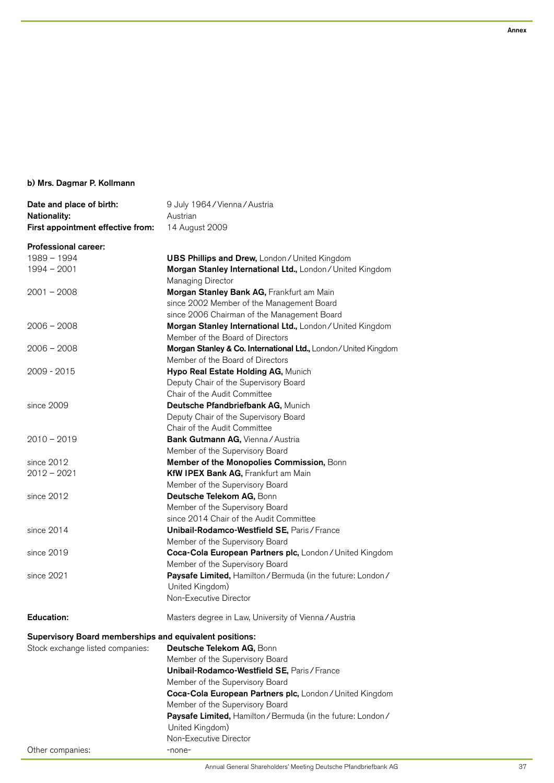# b) Mrs. Dagmar P. Kollmann

| Date and place of birth:                                 | 9 July 1964 / Vienna / Austria                                                            |
|----------------------------------------------------------|-------------------------------------------------------------------------------------------|
| <b>Nationality:</b><br>First appointment effective from: | Austrian<br>14 August 2009                                                                |
| <b>Professional career:</b>                              |                                                                                           |
| $1989 - 1994$                                            | <b>UBS Phillips and Drew, London/United Kingdom</b>                                       |
| $1994 - 2001$                                            | Morgan Stanley International Ltd., London / United Kingdom                                |
|                                                          | Managing Director                                                                         |
| $2001 - 2008$                                            | Morgan Stanley Bank AG, Frankfurt am Main                                                 |
|                                                          | since 2002 Member of the Management Board                                                 |
|                                                          | since 2006 Chairman of the Management Board                                               |
| $2006 - 2008$                                            | Morgan Stanley International Ltd., London/United Kingdom                                  |
|                                                          | Member of the Board of Directors                                                          |
| $2006 - 2008$                                            | Morgan Stanley & Co. International Ltd., London/United Kingdom                            |
|                                                          | Member of the Board of Directors                                                          |
| 2009 - 2015                                              | Hypo Real Estate Holding AG, Munich                                                       |
|                                                          | Deputy Chair of the Supervisory Board                                                     |
|                                                          | Chair of the Audit Committee                                                              |
| since 2009                                               | Deutsche Pfandbriefbank AG, Munich                                                        |
|                                                          | Deputy Chair of the Supervisory Board                                                     |
|                                                          | Chair of the Audit Committee                                                              |
| $2010 - 2019$                                            | Bank Gutmann AG, Vienna / Austria                                                         |
|                                                          | Member of the Supervisory Board                                                           |
| since 2012                                               | Member of the Monopolies Commission, Bonn                                                 |
| $2012 - 2021$                                            | KfW IPEX Bank AG, Frankfurt am Main                                                       |
|                                                          | Member of the Supervisory Board                                                           |
| since 2012                                               | Deutsche Telekom AG, Bonn                                                                 |
|                                                          | Member of the Supervisory Board                                                           |
| since 2014                                               | since 2014 Chair of the Audit Committee                                                   |
|                                                          | Unibail-Rodamco-Westfield SE, Paris / France                                              |
| since 2019                                               | Member of the Supervisory Board                                                           |
|                                                          | Coca-Cola European Partners plc, London/United Kingdom<br>Member of the Supervisory Board |
| since 2021                                               | Paysafe Limited, Hamilton / Bermuda (in the future: London /                              |
|                                                          | United Kingdom)                                                                           |
|                                                          | Non-Executive Director                                                                    |
|                                                          |                                                                                           |
| <b>Education:</b>                                        | Masters degree in Law, University of Vienna/Austria                                       |
| Supervisory Board memberships and equivalent positions:  |                                                                                           |
| Stock exchange listed companies:                         | Deutsche Telekom AG, Bonn                                                                 |
|                                                          | Member of the Supervisory Board                                                           |
|                                                          | Unibail-Rodamco-Westfield SE, Paris / France                                              |
|                                                          | Member of the Supervisory Board                                                           |
|                                                          | Coca-Cola European Partners plc, London / United Kingdom                                  |
|                                                          | Member of the Supervisory Board                                                           |
|                                                          | Paysafe Limited, Hamilton / Bermuda (in the future: London /                              |
|                                                          | United Kingdom)                                                                           |
|                                                          | Non-Executive Director                                                                    |
| Other companies:                                         | -none-                                                                                    |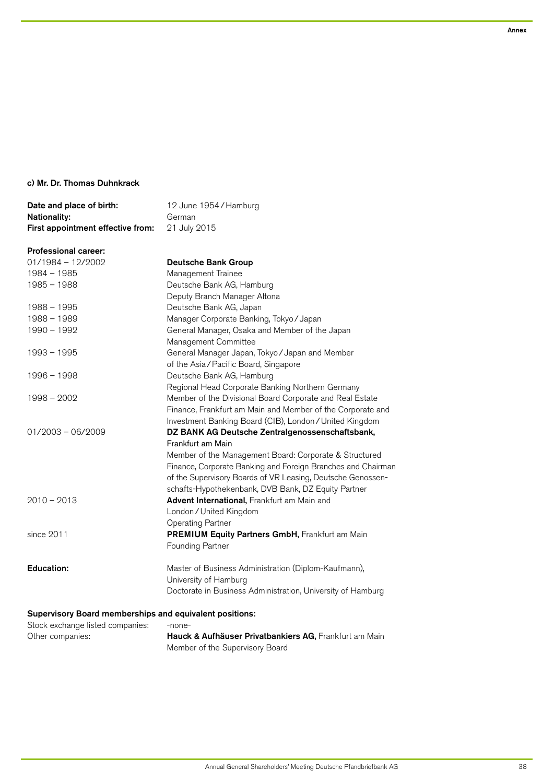# c) Mr. Dr. Thomas Duhnkrack

| Date and place of birth:          | 12 June 1954/Hamburg |
|-----------------------------------|----------------------|
| <b>Nationality:</b>               | German               |
| First appointment effective from: | 21 July 2015         |

# Professional career:

| $01/1984 - 12/2002$                                     | <b>Deutsche Bank Group</b>                                   |  |
|---------------------------------------------------------|--------------------------------------------------------------|--|
| $1984 - 1985$                                           | Management Trainee                                           |  |
| $1985 - 1988$                                           | Deutsche Bank AG, Hamburg                                    |  |
|                                                         | Deputy Branch Manager Altona                                 |  |
| $1988 - 1995$                                           | Deutsche Bank AG, Japan                                      |  |
| $1988 - 1989$                                           | Manager Corporate Banking, Tokyo / Japan                     |  |
| 1990 - 1992                                             | General Manager, Osaka and Member of the Japan               |  |
|                                                         | Management Committee                                         |  |
| $1993 - 1995$                                           | General Manager Japan, Tokyo / Japan and Member              |  |
|                                                         | of the Asia/Pacific Board, Singapore                         |  |
| $1996 - 1998$                                           | Deutsche Bank AG, Hamburg                                    |  |
|                                                         | Regional Head Corporate Banking Northern Germany             |  |
| 1998 - 2002                                             | Member of the Divisional Board Corporate and Real Estate     |  |
|                                                         | Finance, Frankfurt am Main and Member of the Corporate and   |  |
|                                                         | Investment Banking Board (CIB), London / United Kingdom      |  |
| $01/2003 - 06/2009$                                     | DZ BANK AG Deutsche Zentralgenossenschaftsbank,              |  |
|                                                         | Frankfurt am Main                                            |  |
|                                                         | Member of the Management Board: Corporate & Structured       |  |
|                                                         | Finance, Corporate Banking and Foreign Branches and Chairman |  |
|                                                         | of the Supervisory Boards of VR Leasing, Deutsche Genossen-  |  |
|                                                         | schafts-Hypothekenbank, DVB Bank, DZ Equity Partner          |  |
| $2010 - 2013$                                           | Advent International, Frankfurt am Main and                  |  |
|                                                         | London / United Kingdom                                      |  |
|                                                         | <b>Operating Partner</b>                                     |  |
| since 2011                                              | PREMIUM Equity Partners GmbH, Frankfurt am Main              |  |
|                                                         | Founding Partner                                             |  |
| <b>Education:</b>                                       | Master of Business Administration (Diplom-Kaufmann),         |  |
|                                                         | University of Hamburg                                        |  |
|                                                         | Doctorate in Business Administration, University of Hamburg  |  |
| Supervisory Board memberships and equivalent positions: |                                                              |  |

# Stock exchange listed companies: -none-<br>Other companies: - Hauck Hauck & Aufhäuser Privatbankiers AG, Frankfurt am Main Member of the Supervisory Board

Annex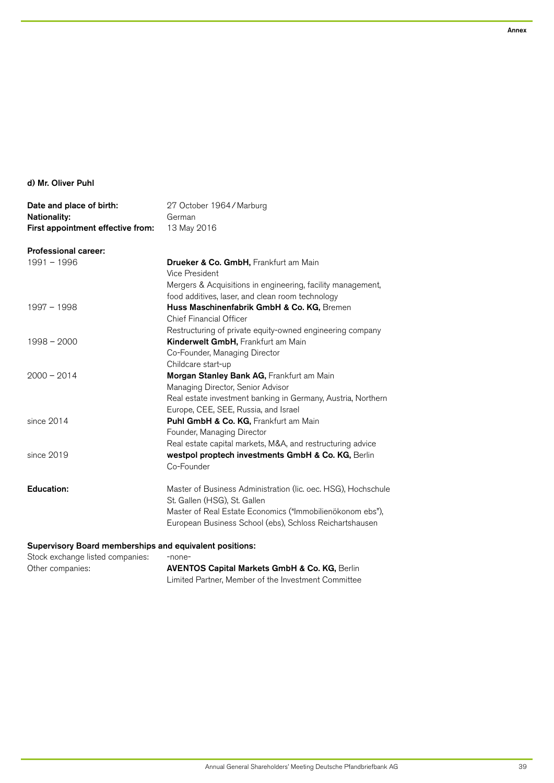# d) Mr. Oliver Puhl

| Date and place of birth:                                | 27 October 1964 / Marburg                                                      |
|---------------------------------------------------------|--------------------------------------------------------------------------------|
| Nationality:                                            | German                                                                         |
| First appointment effective from:                       | 13 May 2016                                                                    |
| <b>Professional career:</b>                             |                                                                                |
| $1991 - 1996$                                           | Drueker & Co. GmbH, Frankfurt am Main                                          |
|                                                         | Vice President                                                                 |
|                                                         | Mergers & Acquisitions in engineering, facility management,                    |
|                                                         | food additives, laser, and clean room technology                               |
| 1997 - 1998                                             | Huss Maschinenfabrik GmbH & Co. KG, Bremen                                     |
|                                                         | Chief Financial Officer                                                        |
|                                                         | Restructuring of private equity-owned engineering company                      |
| $1998 - 2000$                                           | Kinderwelt GmbH, Frankfurt am Main                                             |
|                                                         | Co-Founder, Managing Director                                                  |
| $2000 - 2014$                                           | Childcare start-up                                                             |
|                                                         | Morgan Stanley Bank AG, Frankfurt am Main<br>Managing Director, Senior Advisor |
|                                                         | Real estate investment banking in Germany, Austria, Northern                   |
|                                                         | Europe, CEE, SEE, Russia, and Israel                                           |
| since 2014                                              | Puhl GmbH & Co. KG, Frankfurt am Main                                          |
|                                                         | Founder, Managing Director                                                     |
|                                                         | Real estate capital markets, M&A, and restructuring advice                     |
| since 2019                                              | westpol proptech investments GmbH & Co. KG, Berlin                             |
|                                                         | Co-Founder                                                                     |
| <b>Education:</b>                                       | Master of Business Administration (lic. oec. HSG), Hochschule                  |
|                                                         | St. Gallen (HSG), St. Gallen                                                   |
|                                                         | Master of Real Estate Economics ("Immobilienökonom ebs"),                      |
|                                                         | European Business School (ebs), Schloss Reichartshausen                        |
| Supervisory Board memberships and equivalent positions: |                                                                                |
| Stock exchange listed companies:                        | -none-                                                                         |
| Other companies:                                        | <b>AVENTOS Capital Markets GmbH &amp; Co. KG, Berlin</b>                       |

AVENTOS Capital Markets GmbH & Co. KG, Berlin Limited Partner, Member of the Investment Committee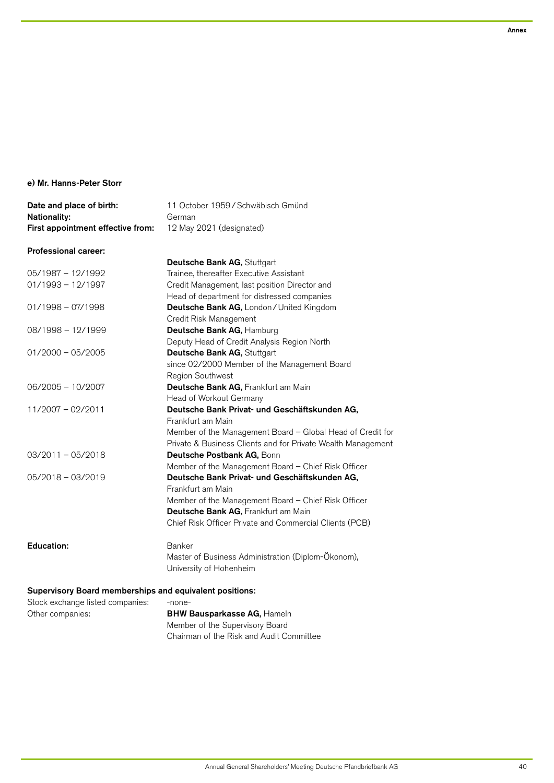# e) Mr. Hanns-Peter Storr

| 12 May 2021 (designated)<br>Deutsche Bank AG, Stuttgart<br>Trainee, thereafter Executive Assistant<br>Credit Management, last position Director and<br>Head of department for distressed companies<br>Deutsche Bank AG, London / United Kingdom |
|-------------------------------------------------------------------------------------------------------------------------------------------------------------------------------------------------------------------------------------------------|
|                                                                                                                                                                                                                                                 |
|                                                                                                                                                                                                                                                 |
|                                                                                                                                                                                                                                                 |
|                                                                                                                                                                                                                                                 |
|                                                                                                                                                                                                                                                 |
|                                                                                                                                                                                                                                                 |
|                                                                                                                                                                                                                                                 |
|                                                                                                                                                                                                                                                 |
| Credit Risk Management                                                                                                                                                                                                                          |
| Deutsche Bank AG, Hamburg                                                                                                                                                                                                                       |
| Deputy Head of Credit Analysis Region North                                                                                                                                                                                                     |
| Deutsche Bank AG, Stuttgart                                                                                                                                                                                                                     |
| since 02/2000 Member of the Management Board                                                                                                                                                                                                    |
| Region Southwest                                                                                                                                                                                                                                |
| Deutsche Bank AG, Frankfurt am Main                                                                                                                                                                                                             |
| Head of Workout Germany                                                                                                                                                                                                                         |
| Deutsche Bank Privat- und Geschäftskunden AG,                                                                                                                                                                                                   |
| Frankfurt am Main                                                                                                                                                                                                                               |
| Member of the Management Board - Global Head of Credit for                                                                                                                                                                                      |
| Private & Business Clients and for Private Wealth Management                                                                                                                                                                                    |
| Deutsche Postbank AG, Bonn                                                                                                                                                                                                                      |
| Member of the Management Board - Chief Risk Officer                                                                                                                                                                                             |
| Deutsche Bank Privat- und Geschäftskunden AG,                                                                                                                                                                                                   |
| Frankfurt am Main                                                                                                                                                                                                                               |
| Member of the Management Board - Chief Risk Officer                                                                                                                                                                                             |
| Deutsche Bank AG, Frankfurt am Main                                                                                                                                                                                                             |
|                                                                                                                                                                                                                                                 |
| Chief Risk Officer Private and Commercial Clients (PCB)                                                                                                                                                                                         |
|                                                                                                                                                                                                                                                 |
| Master of Business Administration (Diplom-Ökonom),                                                                                                                                                                                              |
|                                                                                                                                                                                                                                                 |

| Stock exchange listed companies: | -none-                                   |
|----------------------------------|------------------------------------------|
| Other companies:                 | <b>BHW Bausparkasse AG, Hameln</b>       |
|                                  | Member of the Supervisory Board          |
|                                  | Chairman of the Risk and Audit Committee |
|                                  |                                          |

Annex